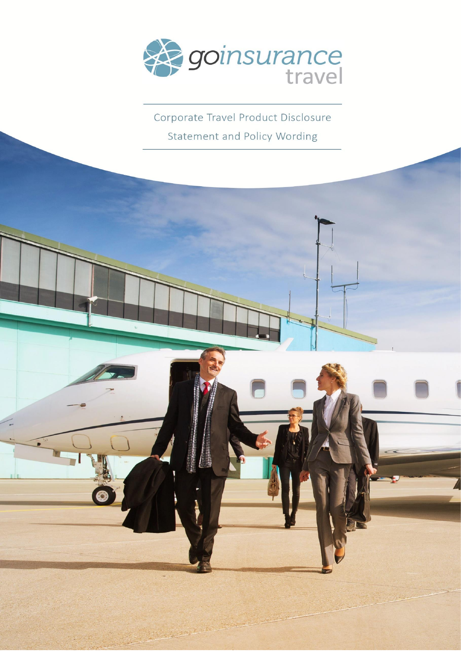

Corporate Travel Product Disclosure Statement and Policy Wording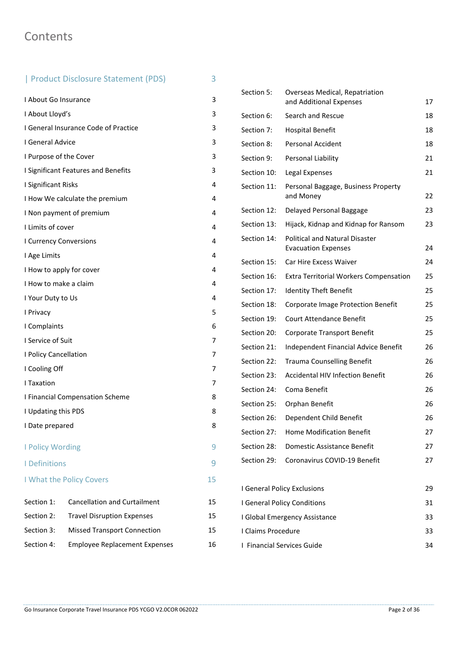# **Contents**

# | Product Disclosure Statement (PDS) 3

I About Go Insurance 3 I About Lloyd's 3 I General Insurance Code of Practice 3 I General Advice 3 I Purpose of the Cover 3 **I Significant Features and Benefits** 3 I Significant Risks 4 I How We calculate the premium 4 I Non payment of premium 4 I Limits of cover 4 I Currency Conversions 4 I Age Limits 4 I How to apply for cover 4 I How to make a claim 4 I Your Duty to Us 4 I Privacy 5 I Complaints 6 I Service of Suit 7 I Policy Cancellation 7 I Cooling Off 7 I Taxation 7 I Financial Compensation Scheme 8 I Updating this PDS 8 I Date prepared 8 I Policy Wording 9 I Definitions 9 I What the Policy Covers 15 Section 1: Cancellation and Curtailment 15 Section 2: Travel Disruption Expenses 15 Section 3: Missed Transport Connection 15 Section 4: Employee Replacement Expenses 16

| Section 5:                 | <b>Overseas Medical, Repatriation</b><br>and Additional Expenses | 17 |
|----------------------------|------------------------------------------------------------------|----|
| Section 6:                 | Search and Rescue                                                | 18 |
|                            |                                                                  | 18 |
| Section 7:                 | <b>Hospital Benefit</b>                                          |    |
| Section 8:                 | Personal Accident                                                | 18 |
| Section 9:                 | Personal Liability                                               | 21 |
| Section 10:                | Legal Expenses                                                   | 21 |
| Section 11:                | Personal Baggage, Business Property<br>and Money                 | 22 |
| Section 12:                | Delayed Personal Baggage                                         | 23 |
| Section 13:                | Hijack, Kidnap and Kidnap for Ransom                             | 23 |
| Section 14:                | Political and Natural Disaster<br><b>Evacuation Expenses</b>     | 24 |
| Section 15:                | Car Hire Excess Waiver                                           | 24 |
| Section 16:                | <b>Extra Territorial Workers Compensation</b>                    | 25 |
| Section 17:                | <b>Identity Theft Benefit</b>                                    | 25 |
| Section 18:                | Corporate Image Protection Benefit                               | 25 |
| Section 19:                | <b>Court Attendance Benefit</b>                                  | 25 |
| Section 20:                | <b>Corporate Transport Benefit</b>                               | 25 |
| Section 21:                | Independent Financial Advice Benefit                             | 26 |
| Section 22:                | <b>Trauma Counselling Benefit</b>                                | 26 |
| Section 23:                | <b>Accidental HIV Infection Benefit</b>                          | 26 |
| Section 24:                | Coma Benefit                                                     | 26 |
| Section 25:                | Orphan Benefit                                                   | 26 |
| Section 26:                | Dependent Child Benefit                                          | 26 |
| Section 27:                | Home Modification Benefit                                        | 27 |
| Section 28:                | Domestic Assistance Benefit                                      | 27 |
| Section 29:                | Coronavirus COVID-19 Benefit                                     | 27 |
|                            | I General Policy Exclusions                                      | 29 |
|                            | I General Policy Conditions                                      | 31 |
|                            | I Global Emergency Assistance                                    | 33 |
| I Claims Procedure         |                                                                  | 33 |
| I Financial Services Guide |                                                                  | 34 |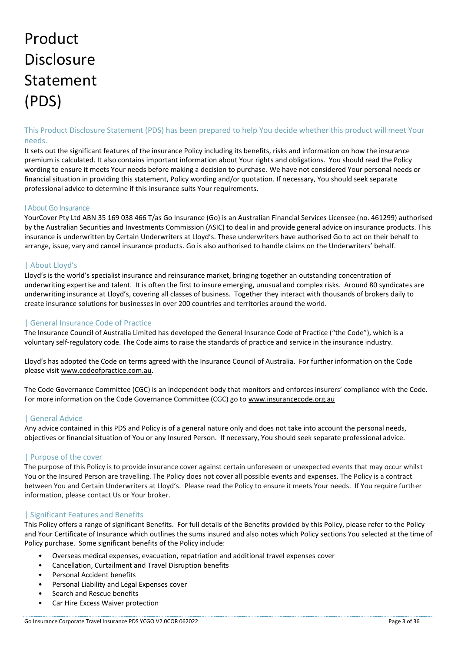# Product **Disclosure** Statement (PDS)

# This Product Disclosure Statement (PDS) has been prepared to help You decide whether this product will meet Your needs.

It sets out the significant features of the insurance Policy including its benefits, risks and information on how the insurance premium is calculated. It also contains important information about Your rights and obligations. You should read the Policy wording to ensure it meets Your needs before making a decision to purchase. We have not considered Your personal needs or financial situation in providing this statement, Policy wording and/or quotation. If necessary, You should seek separate professional advice to determine if this insurance suits Your requirements.

#### I About Go Insurance

YourCover Pty Ltd ABN 35 169 038 466 T/as Go Insurance (Go) is an Australian Financial Services Licensee (no. 461299) authorised by the Australian Securities and Investments Commission (ASIC) to deal in and provide general advice on insurance products. This insurance is underwritten by Certain Underwriters at Lloyd's. These underwriters have authorised Go to act on their behalf to arrange, issue, vary and cancel insurance products. Go is also authorised to handle claims on the Underwriters' behalf.

# | About Lloyd's

Lloyd's is the world's specialist insurance and reinsurance market, bringing together an outstanding concentration of underwriting expertise and talent. It is often the first to insure emerging, unusual and complex risks. Around 80 syndicates are underwriting insurance at Lloyd's, covering all classes of business. Together they interact with thousands of brokers daily to create insurance solutions for businesses in over 200 countries and territories around the world.

# | General Insurance Code of Practice

The Insurance Council of Australia Limited has developed the General Insurance Code of Practice ("the Code"), which is a voluntary self-regulatory code. The Code aims to raise the standards of practice and service in the insurance industry.

Lloyd's has adopted the Code on terms agreed with the Insurance Council of Australia. For further information on the Code please visi[t www.codeofpractice.com.au.](https://urldefense.proofpoint.com/v2/url?u=http-3A__www.codeofpractice.com.au&d=DwMFAg&c=ZnH9XQkNJ63hboBolvM4BvMHpqa6cbGvlWggJ5lnW8w&r=iXadECH1cSW41dbCGrm9bTjGoX5Qe5OShsuNZnzk99Q&m=vuqWIRW974ACcDkF_T8B91F40o0XlpksAS_dnh3DPNQ&s=DJTZIATYxEvrumnxo-XIfq89mdukcNeelXGnds7jTs4&e=)

The Code Governance Committee (CGC) is an independent body that monitors and enforces insurers' compliance with the Code. For more information on the Code Governance Committee (CGC) go to [www.insurancecode.org.au](http://www.insurancecode.org.au/)

# | General Advice

Any advice contained in this PDS and Policy is of a general nature only and does not take into account the personal needs, objectives or financial situation of You or any Insured Person. If necessary, You should seek separate professional advice.

# | Purpose of the cover

The purpose of this Policy is to provide insurance cover against certain unforeseen or unexpected events that may occur whilst You or the Insured Person are travelling. The Policy does not cover all possible events and expenses. The Policy is a contract between You and Certain Underwriters at Lloyd's. Please read the Policy to ensure it meets Your needs. If You require further information, please contact Us or Your broker.

# | Significant Features and Benefits

This Policy offers a range of significant Benefits. For full details of the Benefits provided by this Policy, please refer to the Policy and Your Certificate of Insurance which outlines the sums insured and also notes which Policy sections You selected at the time of Policy purchase. Some significant benefits of the Policy include:

- Overseas medical expenses, evacuation, repatriation and additional travel expenses cover
- Cancellation, Curtailment and Travel Disruption benefits
- Personal Accident benefits
- Personal Liability and Legal Expenses cover
- Search and Rescue benefits
- Car Hire Excess Waiver protection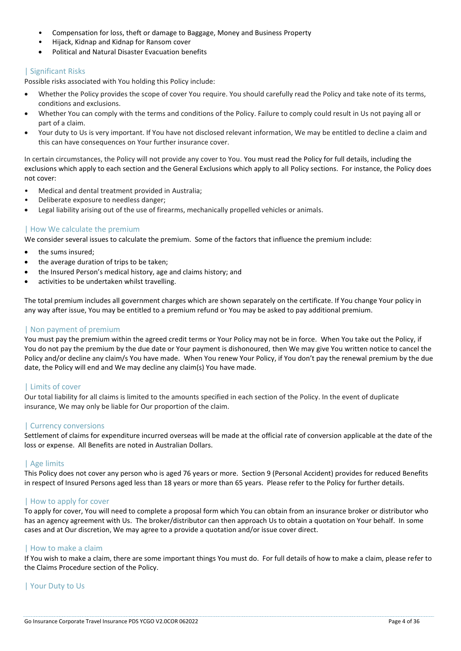- Compensation for loss, theft or damage to Baggage, Money and Business Property
- Hijack, Kidnap and Kidnap for Ransom cover
- Political and Natural Disaster Evacuation benefits

#### | Significant Risks

Possible risks associated with You holding this Policy include:

- Whether the Policy provides the scope of cover You require. You should carefully read the Policy and take note of its terms, conditions and exclusions.
- Whether You can comply with the terms and conditions of the Policy. Failure to comply could result in Us not paying all or part of a claim.
- Your duty to Us is very important. If You have not disclosed relevant information, We may be entitled to decline a claim and this can have consequences on Your further insurance cover.

In certain circumstances, the Policy will not provide any cover to You. You must read the Policy for full details, including the exclusions which apply to each section and the General Exclusions which apply to all Policy sections. For instance, the Policy does not cover:

- Medical and dental treatment provided in Australia;
- Deliberate exposure to needless danger;
- Legal liability arising out of the use of firearms, mechanically propelled vehicles or animals.

# | How We calculate the premium

We consider several issues to calculate the premium. Some of the factors that influence the premium include:

- the sums insured;
- the average duration of trips to be taken;
- the Insured Person's medical history, age and claims history; and
- activities to be undertaken whilst travelling.

The total premium includes all government charges which are shown separately on the certificate. If You change Your policy in any way after issue, You may be entitled to a premium refund or You may be asked to pay additional premium.

# | Non payment of premium

You must pay the premium within the agreed credit terms or Your Policy may not be in force. When You take out the Policy, if You do not pay the premium by the due date or Your payment is dishonoured, then We may give You written notice to cancel the Policy and/or decline any claim/s You have made. When You renew Your Policy, if You don't pay the renewal premium by the due date, the Policy will end and We may decline any claim(s) You have made.

# | Limits of cover

Our total liability for all claims is limited to the amounts specified in each section of the Policy. In the event of duplicate insurance, We may only be liable for Our proportion of the claim.

# | Currency conversions

Settlement of claims for expenditure incurred overseas will be made at the official rate of conversion applicable at the date of the loss or expense. All Benefits are noted in Australian Dollars.

# | Age limits

This Policy does not cover any person who is aged 76 years or more. Section 9 (Personal Accident) provides for reduced Benefits in respect of Insured Persons aged less than 18 years or more than 65 years. Please refer to the Policy for further details.

# | How to apply for cover

To apply for cover, You will need to complete a proposal form which You can obtain from an insurance broker or distributor who has an agency agreement with Us. The broker/distributor can then approach Us to obtain a quotation on Your behalf. In some cases and at Our discretion, We may agree to a provide a quotation and/or issue cover direct.

# | How to make a claim

If You wish to make a claim, there are some important things You must do. For full details of how to make a claim, please refer to the Claims Procedure section of the Policy.

# | Your Duty to Us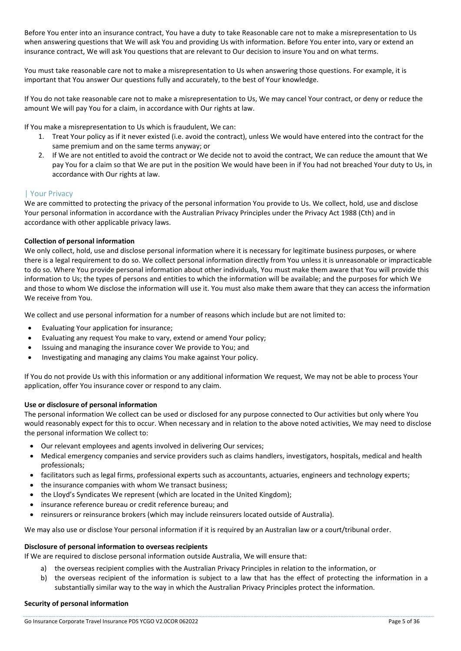Before You enter into an insurance contract, You have a duty to take Reasonable care not to make a misrepresentation to Us when answering questions that We will ask You and providing Us with information. Before You enter into, vary or extend an insurance contract, We will ask You questions that are relevant to Our decision to insure You and on what terms.

You must take reasonable care not to make a misrepresentation to Us when answering those questions. For example, it is important that You answer Our questions fully and accurately, to the best of Your knowledge.

If You do not take reasonable care not to make a misrepresentation to Us, We may cancel Your contract, or deny or reduce the amount We will pay You for a claim, in accordance with Our rights at law.

If You make a misrepresentation to Us which is fraudulent, We can:

- 1. Treat Your policy as if it never existed (i.e. avoid the contract), unless We would have entered into the contract for the same premium and on the same terms anyway; or
- 2. If We are not entitled to avoid the contract or We decide not to avoid the contract, We can reduce the amount that We pay You for a claim so that We are put in the position We would have been in if You had not breached Your duty to Us, in accordance with Our rights at law.

#### | Your Privacy

We are committed to protecting the privacy of the personal information You provide to Us. We collect, hold, use and disclose Your personal information in accordance with the Australian Privacy Principles under the Privacy Act 1988 (Cth) and in accordance with other applicable privacy laws.

#### **Collection of personal information**

We only collect, hold, use and disclose personal information where it is necessary for legitimate business purposes, or where there is a legal requirement to do so. We collect personal information directly from You unless it is unreasonable or impracticable to do so. Where You provide personal information about other individuals, You must make them aware that You will provide this information to Us; the types of persons and entities to which the information will be available; and the purposes for which We and those to whom We disclose the information will use it. You must also make them aware that they can access the information We receive from You.

We collect and use personal information for a number of reasons which include but are not limited to:

- Evaluating Your application for insurance;
- Evaluating any request You make to vary, extend or amend Your policy;
- Issuing and managing the insurance cover We provide to You; and
- Investigating and managing any claims You make against Your policy.

If You do not provide Us with this information or any additional information We request, We may not be able to process Your application, offer You insurance cover or respond to any claim.

#### **Use or disclosure of personal information**

The personal information We collect can be used or disclosed for any purpose connected to Our activities but only where You would reasonably expect for this to occur. When necessary and in relation to the above noted activities, We may need to disclose the personal information We collect to:

- Our relevant employees and agents involved in delivering Our services;
- Medical emergency companies and service providers such as claims handlers, investigators, hospitals, medical and health professionals;
- facilitators such as legal firms, professional experts such as accountants, actuaries, engineers and technology experts;
- the insurance companies with whom We transact business;
- the Lloyd's Syndicates We represent (which are located in the United Kingdom);
- insurance reference bureau or credit reference bureau; and
- reinsurers or reinsurance brokers (which may include reinsurers located outside of Australia).

We may also use or disclose Your personal information if it is required by an Australian law or a court/tribunal order.

#### **Disclosure of personal information to overseas recipients**

If We are required to disclose personal information outside Australia, We will ensure that:

- a) the overseas recipient complies with the Australian Privacy Principles in relation to the information, or
- b) the overseas recipient of the information is subject to a law that has the effect of protecting the information in a substantially similar way to the way in which the Australian Privacy Principles protect the information.

#### **Security of personal information**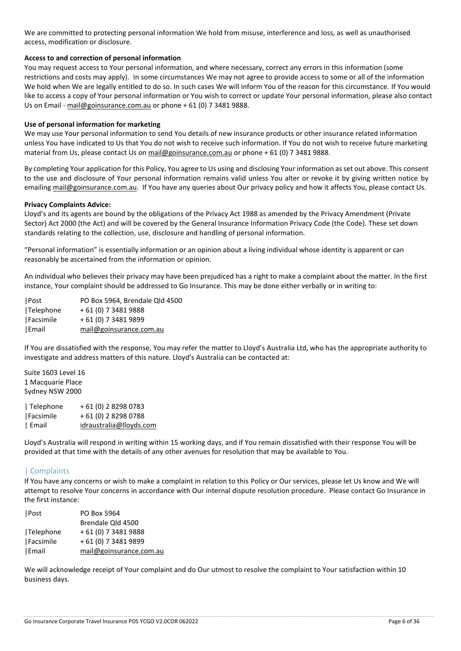We are committed to protecting personal information We hold from misuse, interference and loss, as well as unauthorised access, modification or disclosure.

#### **Access to and correction of personal information**

You may request access to Your personal information, and where necessary, correct any errors in this information (some restrictions and costs may apply). In some circumstances We may not agree to provide access to some or all of the information We hold when We are legally entitled to do so. In such cases We will inform You of the reason for this circumstance. If You would like to access a copy of Your personal information or You wish to correct or update Your personal information, please also contact Us on Email - [mail@goinsurance.com.au](mailto:mail@goinsurance.com.au) or phone + 61 (0) 7 3481 9888.

#### **Use of personal information for marketing**

We may use Your personal information to send You details of new insurance products or other insurance related information unless You have indicated to Us that You do not wish to receive such information. If You do not wish to receive future marketing material from Us, please contact Us o[n mail@goinsurance.com.au](mailto:mail@goinsurance.com.au) or phone + 61 (0) 7 3481 9888.

By completing Your application for this Policy, You agree to Us using and disclosing Your information as set out above. This consent to the use and disclosure of Your personal information remains valid unless You alter or revoke it by giving written notice by emailin[g mail@goinsurance.com.au.](mailto:mail@goinsurance.com.au) If You have any queries about Our privacy policy and how it affects You, please contact Us.

#### **Privacy Complaints Advice:**

Lloyd's and its agents are bound by the obligations of the Privacy Act 1988 as amended by the Privacy Amendment (Private Sector) Act 2000 (the Act) and will be covered by the General Insurance Information Privacy Code (the Code). These set down standards relating to the collection, use, disclosure and handling of personal information.

"Personal information" is essentially information or an opinion about a living individual whose identity is apparent or can reasonably be ascertained from the information or opinion.

An individual who believes their privacy may have been prejudiced has a right to make a complaint about the matter. In the first instance, Your complaint should be addressed to Go Insurance. This may be done either verbally or in writing to:

| Post      | PO Box 5964, Brendale Qld 4500 |
|-----------|--------------------------------|
| Telephone | + 61 (0) 7 3481 9888           |
| Facsimile | + 61 (0) 7 3481 9899           |
| Email     | mail@goinsurance.com.au        |

If You are dissatisfied with the response, You may refer the matter to Lloyd's Australia Ltd, who has the appropriate authority to investigate and address matters of this nature. Lloyd's Australia can be contacted at:

Suite 1603 Level 16 1 Macquarie Place Sydney NSW 2000

| Telephone | + 61 (0) 2 8298 0783    |
|-----------|-------------------------|
| Facsimile | + 61 (0) 2 8298 0788    |
| Email     | idraustralia@lloyds.com |

Lloyd's Australia will respond in writing within 15 working days, and if You remain dissatisfied with their response You will be provided at that time with the details of any other avenues for resolution that may be available to You.

# | Complaints

If You have any concerns or wish to make a complaint in relation to this Policy or Our services, please let Us know and We will attempt to resolve Your concerns in accordance with Our internal dispute resolution procedure. Please contact Go Insurance in the first instance:

| Post      | PO Box 5964             |
|-----------|-------------------------|
|           | Brendale Qld 4500       |
| Telephone | + 61 (0) 7 3481 9888    |
| Facsimile | + 61 (0) 7 3481 9899    |
| Email     | mail@goinsurance.com.au |

We will acknowledge receipt of Your complaint and do Our utmost to resolve the complaint to Your satisfaction within 10 business days.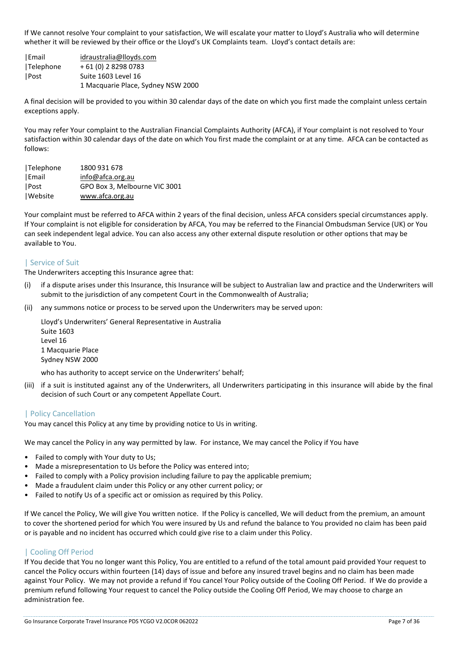If We cannot resolve Your complaint to your satisfaction, We will escalate your matter to Lloyd's Australia who will determine whether it will be reviewed by their office or the Lloyd's UK Complaints team. Lloyd's contact details are:

|Email [idraustralia@lloyds.com](mailto:idraustralia@lloyds.com) |Telephone + 61 (0) 2 8298 0783 |Post Suite 1603 Level 16 1 Macquarie Place, Sydney NSW 2000

A final decision will be provided to you within 30 calendar days of the date on which you first made the complaint unless certain exceptions apply.

You may refer Your complaint to the Australian Financial Complaints Authority (AFCA), if Your complaint is not resolved to Your satisfaction within 30 calendar days of the date on which You first made the complaint or at any time. AFCA can be contacted as follows:

| Telephone | 1800 931 678                  |
|-----------|-------------------------------|
| Email     | info@afca.org.au              |
| Post      | GPO Box 3, Melbourne VIC 3001 |
| Website   | www.afca.org.au               |

Your complaint must be referred to AFCA within 2 years of the final decision, unless AFCA considers special circumstances apply. If Your complaint is not eligible for consideration by AFCA, You may be referred to the Financial Ombudsman Service (UK) or You can seek independent legal advice. You can also access any other external dispute resolution or other options that may be available to You.

# | Service of Suit

The Underwriters accepting this Insurance agree that:

- (i) if a dispute arises under this Insurance, this Insurance will be subject to Australian law and practice and the Underwriters will submit to the jurisdiction of any competent Court in the Commonwealth of Australia;
- (ii) any summons notice or process to be served upon the Underwriters may be served upon:

Lloyd's Underwriters' General Representative in Australia Suite 1603 Level 16 1 Macquarie Place Sydney NSW 2000

who has authority to accept service on the Underwriters' behalf;

(iii) if a suit is instituted against any of the Underwriters, all Underwriters participating in this insurance will abide by the final decision of such Court or any competent Appellate Court.

# | Policy Cancellation

You may cancel this Policy at any time by providing notice to Us in writing.

We may cancel the Policy in any way permitted by law. For instance, We may cancel the Policy if You have

- Failed to comply with Your duty to Us;
- Made a misrepresentation to Us before the Policy was entered into;
- Failed to comply with a Policy provision including failure to pay the applicable premium;
- Made a fraudulent claim under this Policy or any other current policy; or
- Failed to notify Us of a specific act or omission as required by this Policy.

If We cancel the Policy, We will give You written notice. If the Policy is cancelled, We will deduct from the premium, an amount to cover the shortened period for which You were insured by Us and refund the balance to You provided no claim has been paid or is payable and no incident has occurred which could give rise to a claim under this Policy.

# | Cooling Off Period

If You decide that You no longer want this Policy, You are entitled to a refund of the total amount paid provided Your request to cancel the Policy occurs within fourteen (14) days of issue and before any insured travel begins and no claim has been made against Your Policy. We may not provide a refund if You cancel Your Policy outside of the Cooling Off Period. If We do provide a premium refund following Your request to cancel the Policy outside the Cooling Off Period, We may choose to charge an administration fee.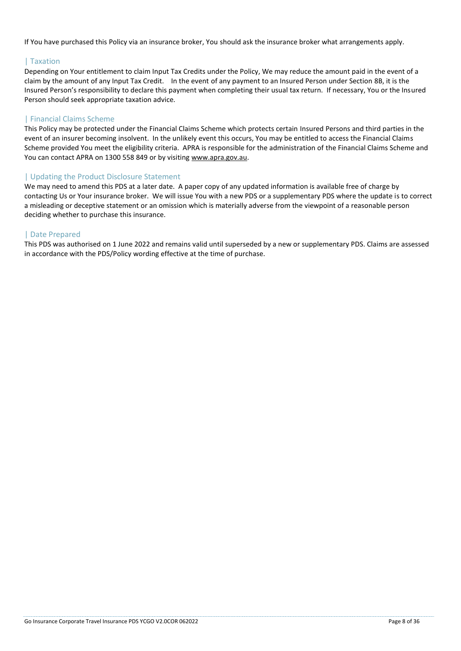If You have purchased this Policy via an insurance broker, You should ask the insurance broker what arrangements apply.

# | Taxation

Depending on Your entitlement to claim Input Tax Credits under the Policy, We may reduce the amount paid in the event of a claim by the amount of any Input Tax Credit. In the event of any payment to an Insured Person under Section 8B, it is the Insured Person's responsibility to declare this payment when completing their usual tax return. If necessary, You or the Insured Person should seek appropriate taxation advice.

# | Financial Claims Scheme

This Policy may be protected under the Financial Claims Scheme which protects certain Insured Persons and third parties in the event of an insurer becoming insolvent. In the unlikely event this occurs, You may be entitled to access the Financial Claims Scheme provided You meet the eligibility criteria. APRA is responsible for the administration of the Financial Claims Scheme and You can contact APRA on 1300 558 849 or by visiting [www.apra.gov.au.](file:///C:/Users/Dean/AppData/Local/Microsoft/Windows/INetCache/Content.Outlook/HLD5SVBN/www.apra.gov.au)

# | Updating the Product Disclosure Statement

We may need to amend this PDS at a later date. A paper copy of any updated information is available free of charge by contacting Us or Your insurance broker. We will issue You with a new PDS or a supplementary PDS where the update is to correct a misleading or deceptive statement or an omission which is materially adverse from the viewpoint of a reasonable person deciding whether to purchase this insurance.

# | Date Prepared

This PDS was authorised on 1 June 2022 and remains valid until superseded by a new or supplementary PDS. Claims are assessed in accordance with the PDS/Policy wording effective at the time of purchase.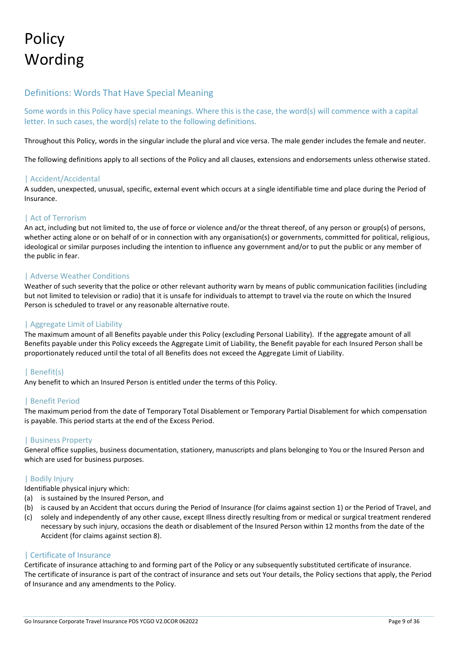# **Policy** Wording

# Definitions: Words That Have Special Meaning

Some words in this Policy have special meanings. Where this is the case, the word(s) will commence with a capital letter. In such cases, the word(s) relate to the following definitions.

Throughout this Policy, words in the singular include the plural and vice versa. The male gender includes the female and neuter.

The following definitions apply to all sections of the Policy and all clauses, extensions and endorsements unless otherwise stated.

#### | Accident/Accidental

A sudden, unexpected, unusual, specific, external event which occurs at a single identifiable time and place during the Period of Insurance.

#### | Act of Terrorism

An act, including but not limited to, the use of force or violence and/or the threat thereof, of any person or group(s) of persons, whether acting alone or on behalf of or in connection with any organisation(s) or governments, committed for political, religious, ideological or similar purposes including the intention to influence any government and/or to put the public or any member of the public in fear.

#### | Adverse Weather Conditions

Weather of such severity that the police or other relevant authority warn by means of public communication facilities (including but not limited to television or radio) that it is unsafe for individuals to attempt to travel via the route on which the Insured Person is scheduled to travel or any reasonable alternative route.

#### | Aggregate Limit of Liability

The maximum amount of all Benefits payable under this Policy (excluding Personal Liability). If the aggregate amount of all Benefits payable under this Policy exceeds the Aggregate Limit of Liability, the Benefit payable for each Insured Person shall be proportionately reduced until the total of all Benefits does not exceed the Aggregate Limit of Liability.

# | Benefit(s)

Any benefit to which an Insured Person is entitled under the terms of this Policy.

# | Benefit Period

The maximum period from the date of Temporary Total Disablement or Temporary Partial Disablement for which compensation is payable. This period starts at the end of the Excess Period.

#### | Business Property

General office supplies, business documentation, stationery, manuscripts and plans belonging to You or the Insured Person and which are used for business purposes.

#### | Bodily Injury

Identifiable physical injury which:

- (a) is sustained by the Insured Person, and
- (b) is caused by an Accident that occurs during the Period of Insurance (for claims against section 1) or the Period of Travel, and
- (c) solely and independently of any other cause, except Illness directly resulting from or medical or surgical treatment rendered necessary by such injury, occasions the death or disablement of the Insured Person within 12 months from the date of the Accident (for claims against section 8).

#### | Certificate of Insurance

Certificate of insurance attaching to and forming part of the Policy or any subsequently substituted certificate of insurance. The certificate of insurance is part of the contract of insurance and sets out Your details, the Policy sections that apply, the Period of Insurance and any amendments to the Policy.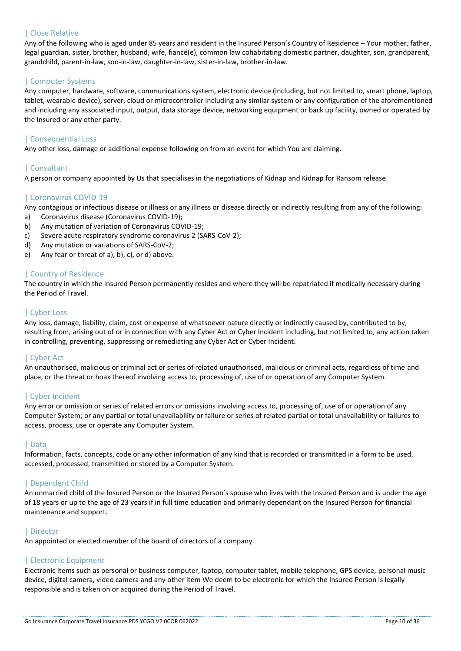# | Close Relative

Any of the following who is aged under 85 years and resident in the Insured Person's Country of Residence – Your mother, father, legal guardian, sister, brother, husband, wife, fiancé(e), common law cohabitating domestic partner, daughter, son, grandparent, grandchild, parent-in-law, son-in-law, daughter-in-law, sister-in-law, brother-in-law.

#### | Computer Systems

Any computer, hardware, software, communications system, electronic device (including, but not limited to, smart phone, laptop, tablet, wearable device), server, cloud or microcontroller including any similar system or any configuration of the aforementioned and including any associated input, output, data storage device, networking equipment or back up facility, owned or operated by the Insured or any other party.

#### | Consequential Loss

Any other loss, damage or additional expense following on from an event for which You are claiming.

# | Consultant

A person or company appointed by Us that specialises in the negotiations of Kidnap and Kidnap for Ransom release.

#### | Coronavirus COVID-19

Any contagious or infectious disease or illness or any illness or disease directly or indirectly resulting from any of the following:

- a) Coronavirus disease (Coronavirus COVID-19);
- b) Any mutation of variation of Coronavirus COVID-19;
- c) Severe acute respiratory syndrome coronavirus 2 (SARS-CoV-2);
- d) Any mutation or variations of SARS-CoV-2;
- e) Any fear or threat of a), b), c), or d) above.

#### | Country of Residence

The country in which the Insured Person permanently resides and where they will be repatriated if medically necessary during the Period of Travel.

#### | Cyber Loss

Any loss, damage, liability, claim, cost or expense of whatsoever nature directly or indirectly caused by, contributed to by, resulting from, arising out of or in connection with any Cyber Act or Cyber Incident including, but not limited to, any action taken in controlling, preventing, suppressing or remediating any Cyber Act or Cyber Incident.

#### | Cyber Act

An unauthorised, malicious or criminal act or series of related unauthorised, malicious or criminal acts, regardless of time and place, or the threat or hoax thereof involving access to, processing of, use of or operation of any Computer System.

# | Cyber Incident

Any error or omission or series of related errors or omissions involving access to, processing of, use of or operation of any Computer System; or any partial or total unavailability or failure or series of related partial or total unavailability or failures to access, process, use or operate any Computer System.

#### | Data

Information, facts, concepts, code or any other information of any kind that is recorded or transmitted in a form to be used, accessed, processed, transmitted or stored by a Computer System.

#### | Dependent Child

An unmarried child of the Insured Person or the Insured Person's spouse who lives with the Insured Person and is under the age of 18 years or up to the age of 23 years if in full time education and primarily dependant on the Insured Person for financial maintenance and support.

#### | Director

An appointed or elected member of the board of directors of a company.

#### | Electronic Equipment

Electronic items such as personal or business computer, laptop, computer tablet, mobile telephone, GPS device, personal music device, digital camera, video camera and any other item We deem to be electronic for which the Insured Person is legally responsible and is taken on or acquired during the Period of Travel.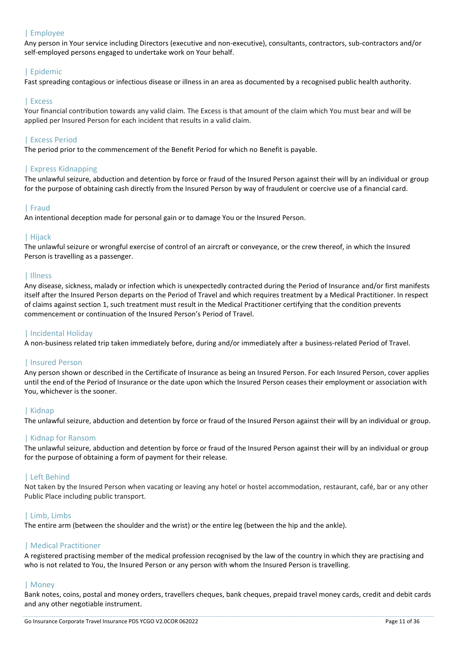# | Employee

Any person in Your service including Directors (executive and non-executive), consultants, contractors, sub-contractors and/or self-employed persons engaged to undertake work on Your behalf.

# | Epidemic

Fast spreading contagious or infectious disease or illness in an area as documented by a recognised public health authority.

#### | Excess

Your financial contribution towards any valid claim. The Excess is that amount of the claim which You must bear and will be applied per Insured Person for each incident that results in a valid claim.

# | Excess Period

The period prior to the commencement of the Benefit Period for which no Benefit is payable.

# | Express Kidnapping

The unlawful seizure, abduction and detention by force or fraud of the Insured Person against their will by an individual or group for the purpose of obtaining cash directly from the Insured Person by way of fraudulent or coercive use of a financial card.

# | Fraud

An intentional deception made for personal gain or to damage You or the Insured Person.

#### | Hijack

The unlawful seizure or wrongful exercise of control of an aircraft or conveyance, or the crew thereof, in which the Insured Person is travelling as a passenger.

#### | Illness

Any disease, sickness, malady or infection which is unexpectedly contracted during the Period of Insurance and/or first manifests itself after the Insured Person departs on the Period of Travel and which requires treatment by a Medical Practitioner. In respect of claims against section 1, such treatment must result in the Medical Practitioner certifying that the condition prevents commencement or continuation of the Insured Person's Period of Travel.

# | Incidental Holiday

A non-business related trip taken immediately before, during and/or immediately after a business-related Period of Travel.

# | Insured Person

Any person shown or described in the Certificate of Insurance as being an Insured Person. For each Insured Person, cover applies until the end of the Period of Insurance or the date upon which the Insured Person ceases their employment or association with You, whichever is the sooner.

#### | Kidnap

The unlawful seizure, abduction and detention by force or fraud of the Insured Person against their will by an individual or group.

# | Kidnap for Ransom

The unlawful seizure, abduction and detention by force or fraud of the Insured Person against their will by an individual or group for the purpose of obtaining a form of payment for their release.

# | Left Behind

Not taken by the Insured Person when vacating or leaving any hotel or hostel accommodation, restaurant, café, bar or any other Public Place including public transport.

# | Limb, Limbs

The entire arm (between the shoulder and the wrist) or the entire leg (between the hip and the ankle).

#### | Medical Practitioner

A registered practising member of the medical profession recognised by the law of the country in which they are practising and who is not related to You, the Insured Person or any person with whom the Insured Person is travelling.

#### | Money

Bank notes, coins, postal and money orders, travellers cheques, bank cheques, prepaid travel money cards, credit and debit cards and any other negotiable instrument.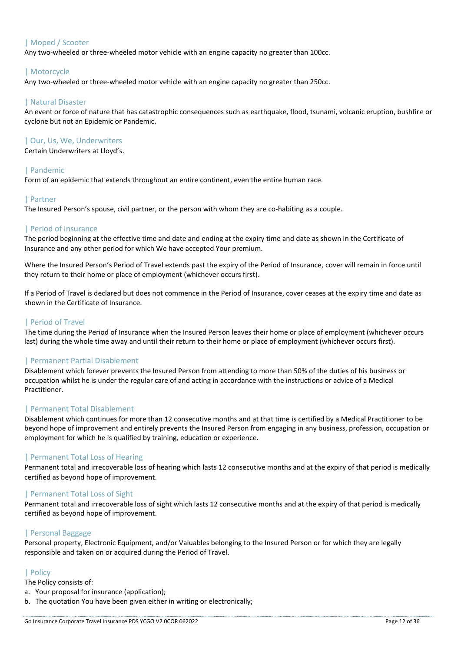# | Moped / Scooter

Any two-wheeled or three-wheeled motor vehicle with an engine capacity no greater than 100cc.

# | Motorcycle

Any two-wheeled or three-wheeled motor vehicle with an engine capacity no greater than 250cc.

#### | Natural Disaster

An event or force of nature that has catastrophic consequences such as earthquake, flood, tsunami, volcanic eruption, bushfire or cyclone but not an Epidemic or Pandemic.

#### | Our, Us, We, Underwriters

Certain Underwriters at Lloyd's.

# | Pandemic

Form of an epidemic that extends throughout an entire continent, even the entire human race.

# | Partner

The Insured Person's spouse, civil partner, or the person with whom they are co-habiting as a couple.

# | Period of Insurance

The period beginning at the effective time and date and ending at the expiry time and date as shown in the Certificate of Insurance and any other period for which We have accepted Your premium.

Where the Insured Person's Period of Travel extends past the expiry of the Period of Insurance, cover will remain in force until they return to their home or place of employment (whichever occurs first).

If a Period of Travel is declared but does not commence in the Period of Insurance, cover ceases at the expiry time and date as shown in the Certificate of Insurance.

# | Period of Travel

The time during the Period of Insurance when the Insured Person leaves their home or place of employment (whichever occurs last) during the whole time away and until their return to their home or place of employment (whichever occurs first).

# | Permanent Partial Disablement

Disablement which forever prevents the Insured Person from attending to more than 50% of the duties of his business or occupation whilst he is under the regular care of and acting in accordance with the instructions or advice of a Medical Practitioner.

#### | Permanent Total Disablement

Disablement which continues for more than 12 consecutive months and at that time is certified by a Medical Practitioner to be beyond hope of improvement and entirely prevents the Insured Person from engaging in any business, profession, occupation or employment for which he is qualified by training, education or experience.

# | Permanent Total Loss of Hearing

Permanent total and irrecoverable loss of hearing which lasts 12 consecutive months and at the expiry of that period is medically certified as beyond hope of improvement.

# | Permanent Total Loss of Sight

Permanent total and irrecoverable loss of sight which lasts 12 consecutive months and at the expiry of that period is medically certified as beyond hope of improvement.

# | Personal Baggage

Personal property, Electronic Equipment, and/or Valuables belonging to the Insured Person or for which they are legally responsible and taken on or acquired during the Period of Travel.

# | Policy

The Policy consists of:

- a. Your proposal for insurance (application);
- b. The quotation You have been given either in writing or electronically;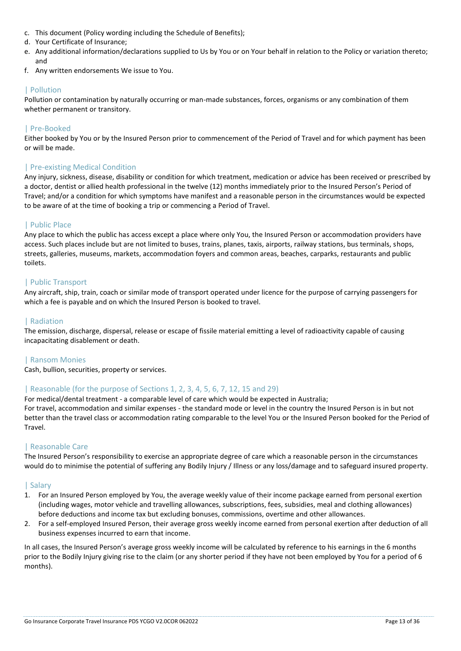- c. This document (Policy wording including the Schedule of Benefits);
- d. Your Certificate of Insurance;
- e. Any additional information/declarations supplied to Us by You or on Your behalf in relation to the Policy or variation thereto; and
- f. Any written endorsements We issue to You.

# | Pollution

Pollution or contamination by naturally occurring or man-made substances, forces, organisms or any combination of them whether permanent or transitory.

# | Pre-Booked

Either booked by You or by the Insured Person prior to commencement of the Period of Travel and for which payment has been or will be made.

# | Pre-existing Medical Condition

Any injury, sickness, disease, disability or condition for which treatment, medication or advice has been received or prescribed by a doctor, dentist or allied health professional in the twelve (12) months immediately prior to the Insured Person's Period of Travel; and/or a condition for which symptoms have manifest and a reasonable person in the circumstances would be expected to be aware of at the time of booking a trip or commencing a Period of Travel.

# | Public Place

Any place to which the public has access except a place where only You, the Insured Person or accommodation providers have access. Such places include but are not limited to buses, trains, planes, taxis, airports, railway stations, bus terminals, shops, streets, galleries, museums, markets, accommodation foyers and common areas, beaches, carparks, restaurants and public toilets.

# | Public Transport

Any aircraft, ship, train, coach or similar mode of transport operated under licence for the purpose of carrying passengers for which a fee is payable and on which the Insured Person is booked to travel.

# | Radiation

The emission, discharge, dispersal, release or escape of fissile material emitting a level of radioactivity capable of causing incapacitating disablement or death.

# | Ransom Monies

Cash, bullion, securities, property or services.

# | Reasonable (for the purpose of Sections 1, 2, 3, 4, 5, 6, 7, 12, 15 and 29)

For medical/dental treatment - a comparable level of care which would be expected in Australia;

For travel, accommodation and similar expenses - the standard mode or level in the country the Insured Person is in but not better than the travel class or accommodation rating comparable to the level You or the Insured Person booked for the Period of Travel.

# | Reasonable Care

The Insured Person's responsibility to exercise an appropriate degree of care which a reasonable person in the circumstances would do to minimise the potential of suffering any Bodily Injury / Illness or any loss/damage and to safeguard insured property.

# | Salary

- 1. For an Insured Person employed by You, the average weekly value of their income package earned from personal exertion (including wages, motor vehicle and travelling allowances, subscriptions, fees, subsidies, meal and clothing allowances) before deductions and income tax but excluding bonuses, commissions, overtime and other allowances.
- 2. For a self-employed Insured Person, their average gross weekly income earned from personal exertion after deduction of all business expenses incurred to earn that income.

In all cases, the Insured Person's average gross weekly income will be calculated by reference to his earnings in the 6 months prior to the Bodily Injury giving rise to the claim (or any shorter period if they have not been employed by You for a period of 6 months).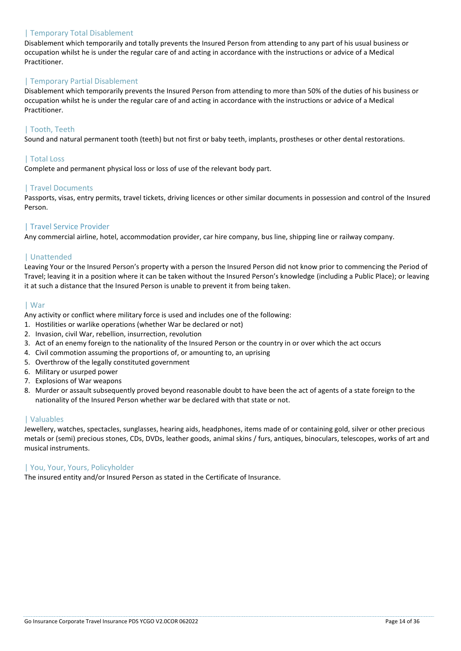# | Temporary Total Disablement

Disablement which temporarily and totally prevents the Insured Person from attending to any part of his usual business or occupation whilst he is under the regular care of and acting in accordance with the instructions or advice of a Medical Practitioner.

# | Temporary Partial Disablement

Disablement which temporarily prevents the Insured Person from attending to more than 50% of the duties of his business or occupation whilst he is under the regular care of and acting in accordance with the instructions or advice of a Medical Practitioner.

# | Tooth, Teeth

Sound and natural permanent tooth (teeth) but not first or baby teeth, implants, prostheses or other dental restorations.

#### | Total Loss

Complete and permanent physical loss or loss of use of the relevant body part.

#### | Travel Documents

Passports, visas, entry permits, travel tickets, driving licences or other similar documents in possession and control of the Insured Person.

#### | Travel Service Provider

Any commercial airline, hotel, accommodation provider, car hire company, bus line, shipping line or railway company.

# | Unattended

Leaving Your or the Insured Person's property with a person the Insured Person did not know prior to commencing the Period of Travel; leaving it in a position where it can be taken without the Insured Person's knowledge (including a Public Place); or leaving it at such a distance that the Insured Person is unable to prevent it from being taken.

#### | War

Any activity or conflict where military force is used and includes one of the following:

- 1. Hostilities or warlike operations (whether War be declared or not)
- 2. Invasion, civil War, rebellion, insurrection, revolution
- 3. Act of an enemy foreign to the nationality of the Insured Person or the country in or over which the act occurs
- 4. Civil commotion assuming the proportions of, or amounting to, an uprising
- 5. Overthrow of the legally constituted government
- 6. Military or usurped power
- 7. Explosions of War weapons
- 8. Murder or assault subsequently proved beyond reasonable doubt to have been the act of agents of a state foreign to the nationality of the Insured Person whether war be declared with that state or not.

#### | Valuables

Jewellery, watches, spectacles, sunglasses, hearing aids, headphones, items made of or containing gold, silver or other precious metals or (semi) precious stones, CDs, DVDs, leather goods, animal skins / furs, antiques, binoculars, telescopes, works of art and musical instruments.

#### | You, Your, Yours, Policyholder

The insured entity and/or Insured Person as stated in the Certificate of Insurance.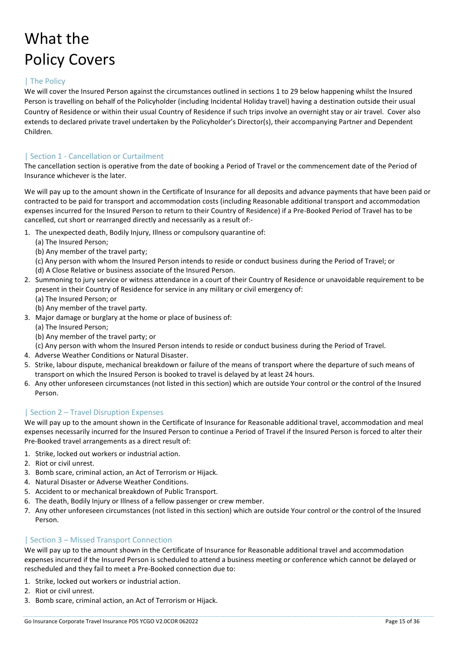# What the Policy Covers

# | The Policy

We will cover the Insured Person against the circumstances outlined in sections 1 to 29 below happening whilst the Insured Person is travelling on behalf of the Policyholder (including Incidental Holiday travel) having a destination outside their usual Country of Residence or within their usual Country of Residence if such trips involve an overnight stay or air travel. Cover also extends to declared private travel undertaken by the Policyholder's Director(s), their accompanying Partner and Dependent Children.

# | Section 1 - Cancellation or Curtailment

The cancellation section is operative from the date of booking a Period of Travel or the commencement date of the Period of Insurance whichever is the later.

We will pay up to the amount shown in the Certificate of Insurance for all deposits and advance payments that have been paid or contracted to be paid for transport and accommodation costs (including Reasonable additional transport and accommodation expenses incurred for the Insured Person to return to their Country of Residence) if a Pre-Booked Period of Travel has to be cancelled, cut short or rearranged directly and necessarily as a result of:-

- 1. The unexpected death, Bodily Injury, Illness or compulsory quarantine of:
	- (a) The Insured Person;
	- (b) Any member of the travel party;
	- (c) Any person with whom the Insured Person intends to reside or conduct business during the Period of Travel; or
	- (d) A Close Relative or business associate of the Insured Person.
- 2. Summoning to jury service or witness attendance in a court of their Country of Residence or unavoidable requirement to be present in their Country of Residence for service in any military or civil emergency of:
	- (a) The Insured Person; or
	- (b) Any member of the travel party.
- 3. Major damage or burglary at the home or place of business of:
	- (a) The Insured Person;
	- (b) Any member of the travel party; or
	- (c) Any person with whom the Insured Person intends to reside or conduct business during the Period of Travel.
- 4. Adverse Weather Conditions or Natural Disaster.
- 5. Strike, labour dispute, mechanical breakdown or failure of the means of transport where the departure of such means of transport on which the Insured Person is booked to travel is delayed by at least 24 hours.
- 6. Any other unforeseen circumstances (not listed in this section) which are outside Your control or the control of the Insured Person.

# | Section 2 – Travel Disruption Expenses

We will pay up to the amount shown in the Certificate of Insurance for Reasonable additional travel, accommodation and meal expenses necessarily incurred for the Insured Person to continue a Period of Travel if the Insured Person is forced to alter their Pre-Booked travel arrangements as a direct result of:

- 1. Strike, locked out workers or industrial action.
- 2. Riot or civil unrest.
- 3. Bomb scare, criminal action, an Act of Terrorism or Hijack.
- 4. Natural Disaster or Adverse Weather Conditions.
- 5. Accident to or mechanical breakdown of Public Transport.
- 6. The death, Bodily Injury or Illness of a fellow passenger or crew member.
- 7. Any other unforeseen circumstances (not listed in this section) which are outside Your control or the control of the Insured Person.

# | Section 3 – Missed Transport Connection

We will pay up to the amount shown in the Certificate of Insurance for Reasonable additional travel and accommodation expenses incurred if the Insured Person is scheduled to attend a business meeting or conference which cannot be delayed or rescheduled and they fail to meet a Pre-Booked connection due to:

- 1. Strike, locked out workers or industrial action.
- 2. Riot or civil unrest.
- 3. Bomb scare, criminal action, an Act of Terrorism or Hijack.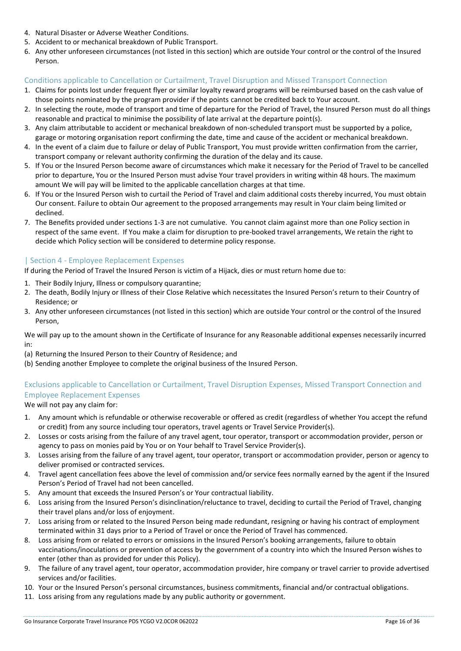- 4. Natural Disaster or Adverse Weather Conditions.
- 5. Accident to or mechanical breakdown of Public Transport.
- 6. Any other unforeseen circumstances (not listed in this section) which are outside Your control or the control of the Insured Person.

# Conditions applicable to Cancellation or Curtailment, Travel Disruption and Missed Transport Connection

- 1. Claims for points lost under frequent flyer or similar loyalty reward programs will be reimbursed based on the cash value of those points nominated by the program provider if the points cannot be credited back to Your account.
- 2. In selecting the route, mode of transport and time of departure for the Period of Travel, the Insured Person must do all things reasonable and practical to minimise the possibility of late arrival at the departure point(s).
- 3. Any claim attributable to accident or mechanical breakdown of non-scheduled transport must be supported by a police, garage or motoring organisation report confirming the date, time and cause of the accident or mechanical breakdown.
- 4. In the event of a claim due to failure or delay of Public Transport, You must provide written confirmation from the carrier, transport company or relevant authority confirming the duration of the delay and its cause.
- 5. If You or the Insured Person become aware of circumstances which make it necessary for the Period of Travel to be cancelled prior to departure, You or the Insured Person must advise Your travel providers in writing within 48 hours. The maximum amount We will pay will be limited to the applicable cancellation charges at that time.
- 6. If You or the Insured Person wish to curtail the Period of Travel and claim additional costs thereby incurred, You must obtain Our consent. Failure to obtain Our agreement to the proposed arrangements may result in Your claim being limited or declined.
- 7. The Benefits provided under sections 1-3 are not cumulative. You cannot claim against more than one Policy section in respect of the same event. If You make a claim for disruption to pre-booked travel arrangements, We retain the right to decide which Policy section will be considered to determine policy response.

# | Section 4 - Employee Replacement Expenses

If during the Period of Travel the Insured Person is victim of a Hijack, dies or must return home due to:

- 1. Their Bodily Injury, Illness or compulsory quarantine;
- 2. The death, Bodily Injury or Illness of their Close Relative which necessitates the Insured Person's return to their Country of Residence; or
- 3. Any other unforeseen circumstances (not listed in this section) which are outside Your control or the control of the Insured Person,

We will pay up to the amount shown in the Certificate of Insurance for any Reasonable additional expenses necessarily incurred in:

- (a) Returning the Insured Person to their Country of Residence; and
- (b) Sending another Employee to complete the original business of the Insured Person.

# Exclusions applicable to Cancellation or Curtailment, Travel Disruption Expenses, Missed Transport Connection and Employee Replacement Expenses

We will not pay any claim for:

- 1. Any amount which is refundable or otherwise recoverable or offered as credit (regardless of whether You accept the refund or credit) from any source including tour operators, travel agents or Travel Service Provider(s).
- 2. Losses or costs arising from the failure of any travel agent, tour operator, transport or accommodation provider, person or agency to pass on monies paid by You or on Your behalf to Travel Service Provider(s).
- 3. Losses arising from the failure of any travel agent, tour operator, transport or accommodation provider, person or agency to deliver promised or contracted services.
- 4. Travel agent cancellation fees above the level of commission and/or service fees normally earned by the agent if the Insured Person's Period of Travel had not been cancelled.
- 5. Any amount that exceeds the Insured Person's or Your contractual liability.
- 6. Loss arising from the Insured Person's disinclination/reluctance to travel, deciding to curtail the Period of Travel, changing their travel plans and/or loss of enjoyment.
- 7. Loss arising from or related to the Insured Person being made redundant, resigning or having his contract of employment terminated within 31 days prior to a Period of Travel or once the Period of Travel has commenced.
- 8. Loss arising from or related to errors or omissions in the Insured Person's booking arrangements, failure to obtain vaccinations/inoculations or prevention of access by the government of a country into which the Insured Person wishes to enter (other than as provided for under this Policy).
- 9. The failure of any travel agent, tour operator, accommodation provider, hire company or travel carrier to provide advertised services and/or facilities.
- 10. Your or the Insured Person's personal circumstances, business commitments, financial and/or contractual obligations.
- 11. Loss arising from any regulations made by any public authority or government.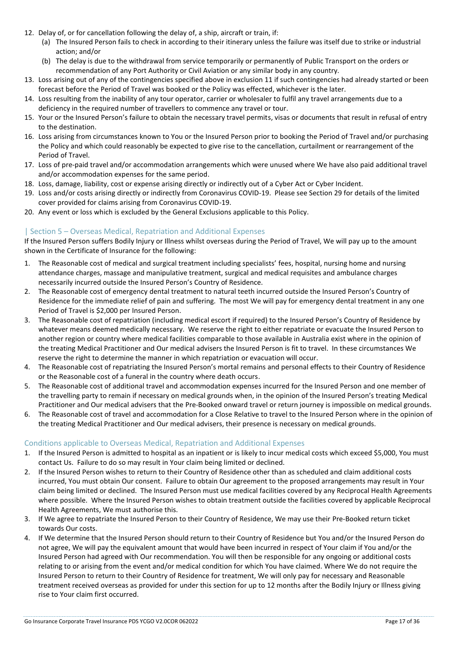- 12. Delay of, or for cancellation following the delay of, a ship, aircraft or train, if:
	- (a) The Insured Person fails to check in according to their itinerary unless the failure was itself due to strike or industrial action; and/or
	- (b) The delay is due to the withdrawal from service temporarily or permanently of Public Transport on the orders or recommendation of any Port Authority or Civil Aviation or any similar body in any country.
- 13. Loss arising out of any of the contingencies specified above in exclusion 11 if such contingencies had already started or been forecast before the Period of Travel was booked or the Policy was effected, whichever is the later.
- 14. Loss resulting from the inability of any tour operator, carrier or wholesaler to fulfil any travel arrangements due to a deficiency in the required number of travellers to commence any travel or tour.
- 15. Your or the Insured Person's failure to obtain the necessary travel permits, visas or documents that result in refusal of entry to the destination.
- 16. Loss arising from circumstances known to You or the Insured Person prior to booking the Period of Travel and/or purchasing the Policy and which could reasonably be expected to give rise to the cancellation, curtailment or rearrangement of the Period of Travel.
- 17. Loss of pre-paid travel and/or accommodation arrangements which were unused where We have also paid additional travel and/or accommodation expenses for the same period.
- 18. Loss, damage, liability, cost or expense arising directly or indirectly out of a Cyber Act or Cyber Incident.
- 19. Loss and/or costs arising directly or indirectly from Coronavirus COVID-19. Please see Section 29 for details of the limited cover provided for claims arising from Coronavirus COVID-19.
- 20. Any event or loss which is excluded by the General Exclusions applicable to this Policy.

# | Section 5 – Overseas Medical, Repatriation and Additional Expenses

If the Insured Person suffers Bodily Injury or Illness whilst overseas during the Period of Travel, We will pay up to the amount shown in the Certificate of Insurance for the following:

- 1. The Reasonable cost of medical and surgical treatment including specialists' fees, hospital, nursing home and nursing attendance charges, massage and manipulative treatment, surgical and medical requisites and ambulance charges necessarily incurred outside the Insured Person's Country of Residence.
- 2. The Reasonable cost of emergency dental treatment to natural teeth incurred outside the Insured Person's Country of Residence for the immediate relief of pain and suffering. The most We will pay for emergency dental treatment in any one Period of Travel is \$2,000 per Insured Person.
- 3. The Reasonable cost of repatriation (including medical escort if required) to the Insured Person's Country of Residence by whatever means deemed medically necessary. We reserve the right to either repatriate or evacuate the Insured Person to another region or country where medical facilities comparable to those available in Australia exist where in the opinion of the treating Medical Practitioner and Our medical advisers the Insured Person is fit to travel. In these circumstances We reserve the right to determine the manner in which repatriation or evacuation will occur.
- 4. The Reasonable cost of repatriating the Insured Person's mortal remains and personal effects to their Country of Residence or the Reasonable cost of a funeral in the country where death occurs.
- 5. The Reasonable cost of additional travel and accommodation expenses incurred for the Insured Person and one member of the travelling party to remain if necessary on medical grounds when, in the opinion of the Insured Person's treating Medical Practitioner and Our medical advisers that the Pre-Booked onward travel or return journey is impossible on medical grounds.
- 6. The Reasonable cost of travel and accommodation for a Close Relative to travel to the Insured Person where in the opinion of the treating Medical Practitioner and Our medical advisers, their presence is necessary on medical grounds.

# Conditions applicable to Overseas Medical, Repatriation and Additional Expenses

- 1. If the Insured Person is admitted to hospital as an inpatient or is likely to incur medical costs which exceed \$5,000, You must contact Us. Failure to do so may result in Your claim being limited or declined.
- 2. If the Insured Person wishes to return to their Country of Residence other than as scheduled and claim additional costs incurred, You must obtain Our consent. Failure to obtain Our agreement to the proposed arrangements may result in Your claim being limited or declined. The Insured Person must use medical facilities covered by any Reciprocal Health Agreements where possible. Where the Insured Person wishes to obtain treatment outside the facilities covered by applicable Reciprocal Health Agreements, We must authorise this.
- 3. If We agree to repatriate the Insured Person to their Country of Residence, We may use their Pre-Booked return ticket towards Our costs.
- 4. If We determine that the Insured Person should return to their Country of Residence but You and/or the Insured Person do not agree, We will pay the equivalent amount that would have been incurred in respect of Your claim if You and/or the Insured Person had agreed with Our recommendation. You will then be responsible for any ongoing or additional costs relating to or arising from the event and/or medical condition for which You have claimed. Where We do not require the Insured Person to return to their Country of Residence for treatment, We will only pay for necessary and Reasonable treatment received overseas as provided for under this section for up to 12 months after the Bodily Injury or Illness giving rise to Your claim first occurred.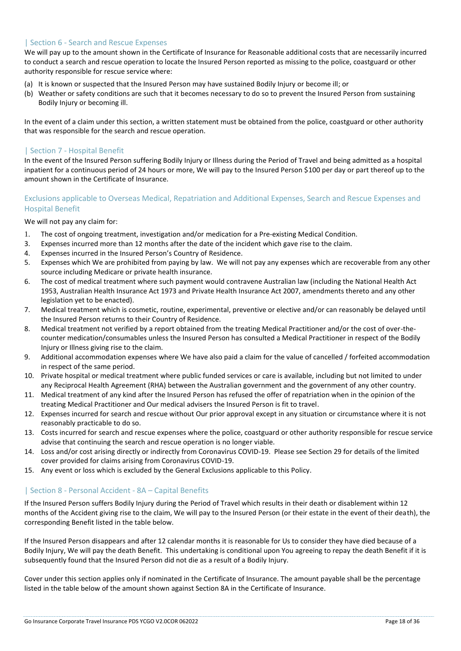# | Section 6 - Search and Rescue Expenses

We will pay up to the amount shown in the Certificate of Insurance for Reasonable additional costs that are necessarily incurred to conduct a search and rescue operation to locate the Insured Person reported as missing to the police, coastguard or other authority responsible for rescue service where:

- (a) It is known or suspected that the Insured Person may have sustained Bodily Injury or become ill; or
- (b) Weather or safety conditions are such that it becomes necessary to do so to prevent the Insured Person from sustaining Bodily Injury or becoming ill.

In the event of a claim under this section, a written statement must be obtained from the police, coastguard or other authority that was responsible for the search and rescue operation.

# | Section 7 - Hospital Benefit

In the event of the Insured Person suffering Bodily Injury or Illness during the Period of Travel and being admitted as a hospital inpatient for a continuous period of 24 hours or more, We will pay to the Insured Person \$100 per day or part thereof up to the amount shown in the Certificate of Insurance.

# Exclusions applicable to Overseas Medical, Repatriation and Additional Expenses, Search and Rescue Expenses and Hospital Benefit

We will not pay any claim for:

- 1. The cost of ongoing treatment, investigation and/or medication for a Pre-existing Medical Condition.
- 3. Expenses incurred more than 12 months after the date of the incident which gave rise to the claim.
- 4. Expenses incurred in the Insured Person's Country of Residence.
- 5. Expenses which We are prohibited from paying by law. We will not pay any expenses which are recoverable from any other source including Medicare or private health insurance.
- 6. The cost of medical treatment where such payment would contravene Australian law (including the National Health Act 1953, Australian Health Insurance Act 1973 and Private Health Insurance Act 2007, amendments thereto and any other legislation yet to be enacted).
- 7. Medical treatment which is cosmetic, routine, experimental, preventive or elective and/or can reasonably be delayed until the Insured Person returns to their Country of Residence.
- 8. Medical treatment not verified by a report obtained from the treating Medical Practitioner and/or the cost of over-thecounter medication/consumables unless the Insured Person has consulted a Medical Practitioner in respect of the Bodily Injury or Illness giving rise to the claim.
- 9. Additional accommodation expenses where We have also paid a claim for the value of cancelled / forfeited accommodation in respect of the same period.
- 10. Private hospital or medical treatment where public funded services or care is available, including but not limited to under any Reciprocal Health Agreement (RHA) between the Australian government and the government of any other country.
- 11. Medical treatment of any kind after the Insured Person has refused the offer of repatriation when in the opinion of the treating Medical Practitioner and Our medical advisers the Insured Person is fit to travel.
- 12. Expenses incurred for search and rescue without Our prior approval except in any situation or circumstance where it is not reasonably practicable to do so.
- 13. Costs incurred for search and rescue expenses where the police, coastguard or other authority responsible for rescue service advise that continuing the search and rescue operation is no longer viable.
- 14. Loss and/or cost arising directly or indirectly from Coronavirus COVID-19. Please see Section 29 for details of the limited cover provided for claims arising from Coronavirus COVID-19.
- 15. Any event or loss which is excluded by the General Exclusions applicable to this Policy.

# | Section 8 - Personal Accident - 8A – Capital Benefits

If the Insured Person suffers Bodily Injury during the Period of Travel which results in their death or disablement within 12 months of the Accident giving rise to the claim, We will pay to the Insured Person (or their estate in the event of their death), the corresponding Benefit listed in the table below.

If the Insured Person disappears and after 12 calendar months it is reasonable for Us to consider they have died because of a Bodily Injury, We will pay the death Benefit. This undertaking is conditional upon You agreeing to repay the death Benefit if it is subsequently found that the Insured Person did not die as a result of a Bodily Injury.

Cover under this section applies only if nominated in the Certificate of Insurance. The amount payable shall be the percentage listed in the table below of the amount shown against Section 8A in the Certificate of Insurance.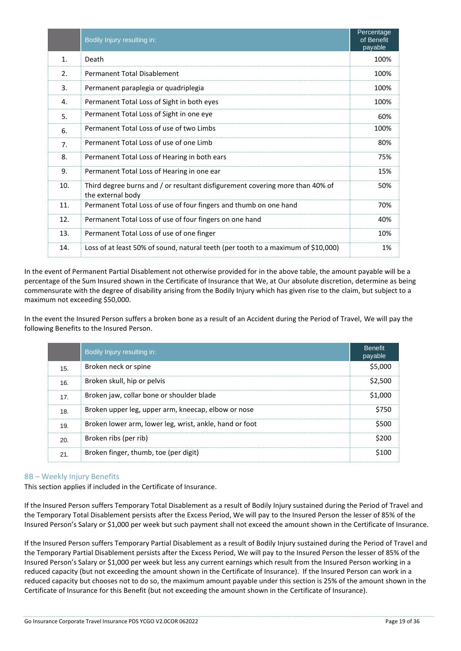|                | Bodily Injury resulting in:                                                                        | Percentage<br>of Benefit<br>payable |
|----------------|----------------------------------------------------------------------------------------------------|-------------------------------------|
| 1.             | Death                                                                                              | 100%                                |
| 2.             | Permanent Total Disablement                                                                        | 100%                                |
| 3.             | Permanent paraplegia or quadriplegia                                                               | 100%                                |
| 4.             | Permanent Total Loss of Sight in both eyes                                                         | 100%                                |
| 5.             | Permanent Total Loss of Sight in one eye                                                           | 60%                                 |
| 6.             | Permanent Total Loss of use of two Limbs                                                           | 100%                                |
| 7 <sub>1</sub> | Permanent Total Loss of use of one Limb                                                            | 80%                                 |
| 8.             | Permanent Total Loss of Hearing in both ears                                                       | 75%                                 |
| 9.             | Permanent Total Loss of Hearing in one ear                                                         | 15%                                 |
| 10.            | Third degree burns and / or resultant disfigurement covering more than 40% of<br>the external body | 50%                                 |
| 11.            | Permanent Total Loss of use of four fingers and thumb on one hand                                  | 70%                                 |
| 12.            | Permanent Total Loss of use of four fingers on one hand                                            | 40%                                 |
| 13.            | Permanent Total Loss of use of one finger                                                          | 10%                                 |
| 14.            | Loss of at least 50% of sound, natural teeth (per tooth to a maximum of \$10,000)                  | 1%                                  |

In the event of Permanent Partial Disablement not otherwise provided for in the above table, the amount payable will be a percentage of the Sum Insured shown in the Certificate of Insurance that We, at Our absolute discretion, determine as being commensurate with the degree of disability arising from the Bodily Injury which has given rise to the claim, but subject to a maximum not exceeding \$50,000.

In the event the Insured Person suffers a broken bone as a result of an Accident during the Period of Travel, We will pay the following Benefits to the Insured Person.

|     | Bodily Injury resulting in:                             | <b>Benefit</b><br>payable |
|-----|---------------------------------------------------------|---------------------------|
| 15. | Broken neck or spine                                    | \$5,000                   |
| 16. | Broken skull, hip or pelvis                             | \$2,500                   |
| 17. | Broken jaw, collar bone or shoulder blade               | \$1,000                   |
| 18. | Broken upper leg, upper arm, kneecap, elbow or nose     | \$750                     |
| 19. | Broken lower arm, lower leg, wrist, ankle, hand or foot | \$500                     |
| 20. | Broken ribs (per rib)                                   | \$200                     |
| 21. | Broken finger, thumb, toe (per digit)                   | \$100                     |

# 8B – Weekly Injury Benefits

This section applies if included in the Certificate of Insurance.

If the Insured Person suffers Temporary Total Disablement as a result of Bodily Injury sustained during the Period of Travel and the Temporary Total Disablement persists after the Excess Period, We will pay to the Insured Person the lesser of 85% of the Insured Person's Salary or \$1,000 per week but such payment shall not exceed the amount shown in the Certificate of Insurance.

If the Insured Person suffers Temporary Partial Disablement as a result of Bodily Injury sustained during the Period of Travel and the Temporary Partial Disablement persists after the Excess Period, We will pay to the Insured Person the lesser of 85% of the Insured Person's Salary or \$1,000 per week but less any current earnings which result from the Insured Person working in a reduced capacity (but not exceeding the amount shown in the Certificate of Insurance). If the Insured Person can work in a reduced capacity but chooses not to do so, the maximum amount payable under this section is 25% of the amount shown in the Certificate of Insurance for this Benefit (but not exceeding the amount shown in the Certificate of Insurance).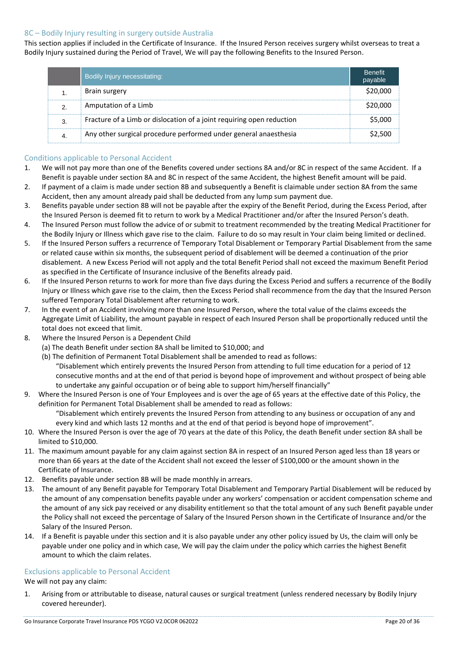# 8C – Bodily Injury resulting in surgery outside Australia

This section applies if included in the Certificate of Insurance. If the Insured Person receives surgery whilst overseas to treat a Bodily Injury sustained during the Period of Travel, We will pay the following Benefits to the Insured Person.

| Bodily Injury necessitating:                                          | <b>Benefit</b><br>payable |
|-----------------------------------------------------------------------|---------------------------|
| Brain surgery                                                         | \$20,000                  |
| Amputation of a Limb                                                  | S20.000                   |
| Fracture of a Limb or dislocation of a joint requiring open reduction | S5.000                    |
| Any other surgical procedure performed under general anaesthesia      | S2.500                    |

# Conditions applicable to Personal Accident

- 1. We will not pay more than one of the Benefits covered under sections 8A and/or 8C in respect of the same Accident. If a Benefit is payable under section 8A and 8C in respect of the same Accident, the highest Benefit amount will be paid.
- 2. If payment of a claim is made under section 8B and subsequently a Benefit is claimable under section 8A from the same Accident, then any amount already paid shall be deducted from any lump sum payment due.
- 3. Benefits payable under section 8B will not be payable after the expiry of the Benefit Period, during the Excess Period, after the Insured Person is deemed fit to return to work by a Medical Practitioner and/or after the Insured Person's death.
- 4. The Insured Person must follow the advice of or submit to treatment recommended by the treating Medical Practitioner for the Bodily Injury or Illness which gave rise to the claim. Failure to do so may result in Your claim being limited or declined.
- 5. If the Insured Person suffers a recurrence of Temporary Total Disablement or Temporary Partial Disablement from the same or related cause within six months, the subsequent period of disablement will be deemed a continuation of the prior disablement. A new Excess Period will not apply and the total Benefit Period shall not exceed the maximum Benefit Period as specified in the Certificate of Insurance inclusive of the Benefits already paid.
- 6. If the Insured Person returns to work for more than five days during the Excess Period and suffers a recurrence of the Bodily Injury or Illness which gave rise to the claim, then the Excess Period shall recommence from the day that the Insured Person suffered Temporary Total Disablement after returning to work.
- 7. In the event of an Accident involving more than one Insured Person, where the total value of the claims exceeds the Aggregate Limit of Liability, the amount payable in respect of each Insured Person shall be proportionally reduced until the total does not exceed that limit.
- 8. Where the Insured Person is a Dependent Child
	- (a) The death Benefit under section 8A shall be limited to \$10,000; and
	- (b) The definition of Permanent Total Disablement shall be amended to read as follows: "Disablement which entirely prevents the Insured Person from attending to full time education for a period of 12 consecutive months and at the end of that period is beyond hope of improvement and without prospect of being able to undertake any gainful occupation or of being able to support him/herself financially"
- 9. Where the Insured Person is one of Your Employees and is over the age of 65 years at the effective date of this Policy, the definition for Permanent Total Disablement shall be amended to read as follows:

"Disablement which entirely prevents the Insured Person from attending to any business or occupation of any and every kind and which lasts 12 months and at the end of that period is beyond hope of improvement".

- 10. Where the Insured Person is over the age of 70 years at the date of this Policy, the death Benefit under section 8A shall be limited to \$10,000.
- 11. The maximum amount payable for any claim against section 8A in respect of an Insured Person aged less than 18 years or more than 66 years at the date of the Accident shall not exceed the lesser of \$100,000 or the amount shown in the Certificate of Insurance.
- 12. Benefits payable under section 8B will be made monthly in arrears.
- 13. The amount of any Benefit payable for Temporary Total Disablement and Temporary Partial Disablement will be reduced by the amount of any compensation benefits payable under any workers' compensation or accident compensation scheme and the amount of any sick pay received or any disability entitlement so that the total amount of any such Benefit payable under the Policy shall not exceed the percentage of Salary of the Insured Person shown in the Certificate of Insurance and/or the Salary of the Insured Person.
- 14. If a Benefit is payable under this section and it is also payable under any other policy issued by Us, the claim will only be payable under one policy and in which case, We will pay the claim under the policy which carries the highest Benefit amount to which the claim relates.

#### Exclusions applicable to Personal Accident

We will not pay any claim:

1. Arising from or attributable to disease, natural causes or surgical treatment (unless rendered necessary by Bodily Injury covered hereunder).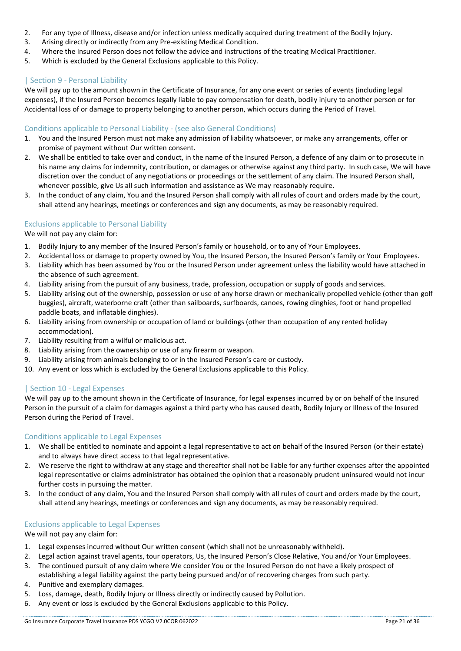- 2. For any type of Illness, disease and/or infection unless medically acquired during treatment of the Bodily Injury.
- 3. Arising directly or indirectly from any Pre-existing Medical Condition.
- 4. Where the Insured Person does not follow the advice and instructions of the treating Medical Practitioner.
- 5. Which is excluded by the General Exclusions applicable to this Policy.

# | Section 9 - Personal Liability

We will pay up to the amount shown in the Certificate of Insurance, for any one event or series of events (including legal expenses), if the Insured Person becomes legally liable to pay compensation for death, bodily injury to another person or for Accidental loss of or damage to property belonging to another person, which occurs during the Period of Travel.

# Conditions applicable to Personal Liability - (see also General Conditions)

- 1. You and the Insured Person must not make any admission of liability whatsoever, or make any arrangements, offer or promise of payment without Our written consent.
- 2. We shall be entitled to take over and conduct, in the name of the Insured Person, a defence of any claim or to prosecute in his name any claims for indemnity, contribution, or damages or otherwise against any third party. In such case, We will have discretion over the conduct of any negotiations or proceedings or the settlement of any claim. The Insured Person shall, whenever possible, give Us all such information and assistance as We may reasonably require.
- 3. In the conduct of any claim, You and the Insured Person shall comply with all rules of court and orders made by the court, shall attend any hearings, meetings or conferences and sign any documents, as may be reasonably required.

# Exclusions applicable to Personal Liability

We will not pay any claim for:

- 1. Bodily Injury to any member of the Insured Person's family or household, or to any of Your Employees.
- 2. Accidental loss or damage to property owned by You, the Insured Person, the Insured Person's family or Your Employees.
- 3. Liability which has been assumed by You or the Insured Person under agreement unless the liability would have attached in the absence of such agreement.
- 4. Liability arising from the pursuit of any business, trade, profession, occupation or supply of goods and services.
- 5. Liability arising out of the ownership, possession or use of any horse drawn or mechanically propelled vehicle (other than golf buggies), aircraft, waterborne craft (other than sailboards, surfboards, canoes, rowing dinghies, foot or hand propelled paddle boats, and inflatable dinghies).
- 6. Liability arising from ownership or occupation of land or buildings (other than occupation of any rented holiday accommodation).
- 7. Liability resulting from a wilful or malicious act.
- 8. Liability arising from the ownership or use of any firearm or weapon.
- 9. Liability arising from animals belonging to or in the Insured Person's care or custody.
- 10. Any event or loss which is excluded by the General Exclusions applicable to this Policy.

# | Section 10 - Legal Expenses

We will pay up to the amount shown in the Certificate of Insurance, for legal expenses incurred by or on behalf of the Insured Person in the pursuit of a claim for damages against a third party who has caused death, Bodily Injury or Illness of the Insured Person during the Period of Travel.

# Conditions applicable to Legal Expenses

- 1. We shall be entitled to nominate and appoint a legal representative to act on behalf of the Insured Person (or their estate) and to always have direct access to that legal representative.
- 2. We reserve the right to withdraw at any stage and thereafter shall not be liable for any further expenses after the appointed legal representative or claims administrator has obtained the opinion that a reasonably prudent uninsured would not incur further costs in pursuing the matter.
- 3. In the conduct of any claim, You and the Insured Person shall comply with all rules of court and orders made by the court, shall attend any hearings, meetings or conferences and sign any documents, as may be reasonably required.

# Exclusions applicable to Legal Expenses

We will not pay any claim for:

- 1. Legal expenses incurred without Our written consent (which shall not be unreasonably withheld).
- 2. Legal action against travel agents, tour operators, Us, the Insured Person's Close Relative, You and/or Your Employees.
- 3. The continued pursuit of any claim where We consider You or the Insured Person do not have a likely prospect of establishing a legal liability against the party being pursued and/or of recovering charges from such party.
- 4. Punitive and exemplary damages.
- 5. Loss, damage, death, Bodily Injury or Illness directly or indirectly caused by Pollution.
- 6. Any event or loss is excluded by the General Exclusions applicable to this Policy.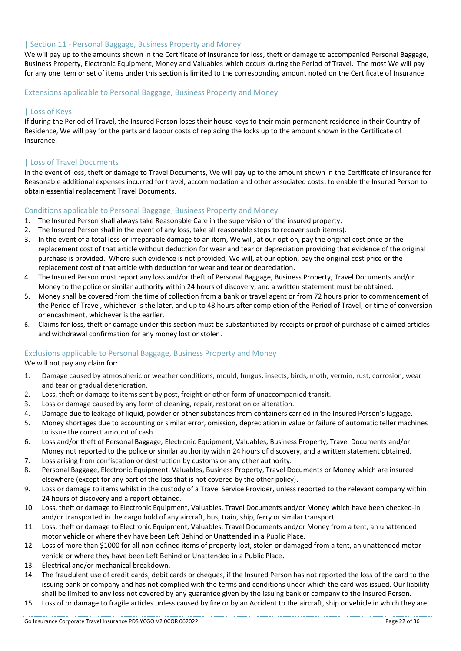#### | Section 11 - Personal Baggage, Business Property and Money

We will pay up to the amounts shown in the Certificate of Insurance for loss, theft or damage to accompanied Personal Baggage, Business Property, Electronic Equipment, Money and Valuables which occurs during the Period of Travel. The most We will pay for any one item or set of items under this section is limited to the corresponding amount noted on the Certificate of Insurance.

#### Extensions applicable to Personal Baggage, Business Property and Money

# | Loss of Keys

If during the Period of Travel, the Insured Person loses their house keys to their main permanent residence in their Country of Residence, We will pay for the parts and labour costs of replacing the locks up to the amount shown in the Certificate of Insurance.

#### | Loss of Travel Documents

In the event of loss, theft or damage to Travel Documents, We will pay up to the amount shown in the Certificate of Insurance for Reasonable additional expenses incurred for travel, accommodation and other associated costs, to enable the Insured Person to obtain essential replacement Travel Documents.

#### Conditions applicable to Personal Baggage, Business Property and Money

- 1. The Insured Person shall always take Reasonable Care in the supervision of the insured property.
- 2. The Insured Person shall in the event of any loss, take all reasonable steps to recover such item(s).
- 3. In the event of a total loss or irreparable damage to an item, We will, at our option, pay the original cost price or the replacement cost of that article without deduction for wear and tear or depreciation providing that evidence of the original purchase is provided. Where such evidence is not provided, We will, at our option, pay the original cost price or the replacement cost of that article with deduction for wear and tear or depreciation.
- 4. The Insured Person must report any loss and/or theft of Personal Baggage, Business Property, Travel Documents and/or Money to the police or similar authority within 24 hours of discovery, and a written statement must be obtained.
- 5. Money shall be covered from the time of collection from a bank or travel agent or from 72 hours prior to commencement of the Period of Travel, whichever is the later, and up to 48 hours after completion of the Period of Travel, or time of conversion or encashment, whichever is the earlier.
- 6. Claims for loss, theft or damage under this section must be substantiated by receipts or proof of purchase of claimed articles and withdrawal confirmation for any money lost or stolen.

# Exclusions applicable to Personal Baggage, Business Property and Money

#### We will not pay any claim for:

- 1. Damage caused by atmospheric or weather conditions, mould, fungus, insects, birds, moth, vermin, rust, corrosion, wear and tear or gradual deterioration.
- 2. Loss, theft or damage to items sent by post, freight or other form of unaccompanied transit.
- 3. Loss or damage caused by any form of cleaning, repair, restoration or alteration.
- 4. Damage due to leakage of liquid, powder or other substances from containers carried in the Insured Person's luggage.
- 5. Money shortages due to accounting or similar error, omission, depreciation in value or failure of automatic teller machines to issue the correct amount of cash.
- 6. Loss and/or theft of Personal Baggage, Electronic Equipment, Valuables, Business Property, Travel Documents and/or Money not reported to the police or similar authority within 24 hours of discovery, and a written statement obtained.
- 7. Loss arising from confiscation or destruction by customs or any other authority.
- 8. Personal Baggage, Electronic Equipment, Valuables, Business Property, Travel Documents or Money which are insured elsewhere (except for any part of the loss that is not covered by the other policy).
- 9. Loss or damage to items whilst in the custody of a Travel Service Provider, unless reported to the relevant company within 24 hours of discovery and a report obtained.
- 10. Loss, theft or damage to Electronic Equipment, Valuables, Travel Documents and/or Money which have been checked-in and/or transported in the cargo hold of any aircraft, bus, train, ship, ferry or similar transport.
- 11. Loss, theft or damage to Electronic Equipment, Valuables, Travel Documents and/or Money from a tent, an unattended motor vehicle or where they have been Left Behind or Unattended in a Public Place.
- 12. Loss of more than \$1000 for all non-defined items of property lost, stolen or damaged from a tent, an unattended motor vehicle or where they have been Left Behind or Unattended in a Public Place.
- 13. Electrical and/or mechanical breakdown.
- 14. The fraudulent use of credit cards, debit cards or cheques, if the Insured Person has not reported the loss of the card to the issuing bank or company and has not complied with the terms and conditions under which the card was issued. Our liability shall be limited to any loss not covered by any guarantee given by the issuing bank or company to the Insured Person.
- 15. Loss of or damage to fragile articles unless caused by fire or by an Accident to the aircraft, ship or vehicle in which they are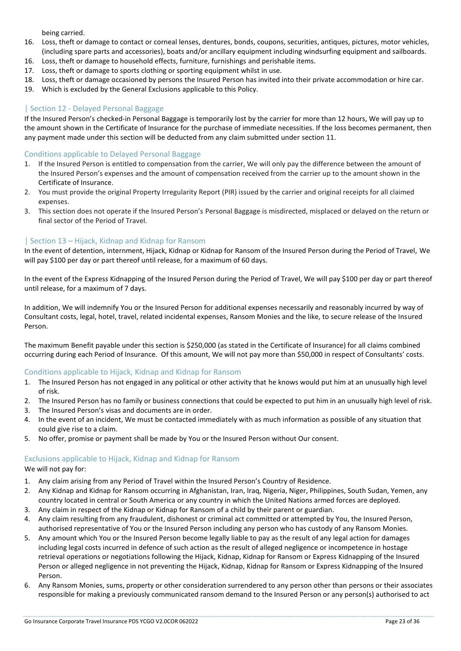being carried.

- 16. Loss, theft or damage to contact or corneal lenses, dentures, bonds, coupons, securities, antiques, pictures, motor vehicles, (including spare parts and accessories), boats and/or ancillary equipment including windsurfing equipment and sailboards.
- 16. Loss, theft or damage to household effects, furniture, furnishings and perishable items.
- 17. Loss, theft or damage to sports clothing or sporting equipment whilst in use.
- 18. Loss, theft or damage occasioned by persons the Insured Person has invited into their private accommodation or hire car.
- 19. Which is excluded by the General Exclusions applicable to this Policy.

#### | Section 12 - Delayed Personal Baggage

If the Insured Person's checked-in Personal Baggage is temporarily lost by the carrier for more than 12 hours, We will pay up to the amount shown in the Certificate of Insurance for the purchase of immediate necessities. If the loss becomes permanent, then any payment made under this section will be deducted from any claim submitted under section 11.

#### Conditions applicable to Delayed Personal Baggage

- 1. If the Insured Person is entitled to compensation from the carrier, We will only pay the difference between the amount of the Insured Person's expenses and the amount of compensation received from the carrier up to the amount shown in the Certificate of Insurance.
- 2. You must provide the original Property Irregularity Report (PIR) issued by the carrier and original receipts for all claimed expenses.
- 3. This section does not operate if the Insured Person's Personal Baggage is misdirected, misplaced or delayed on the return or final sector of the Period of Travel.

# | Section 13 – Hijack, Kidnap and Kidnap for Ransom

In the event of detention, internment, Hijack, Kidnap or Kidnap for Ransom of the Insured Person during the Period of Travel, We will pay \$100 per day or part thereof until release, for a maximum of 60 days.

In the event of the Express Kidnapping of the Insured Person during the Period of Travel, We will pay \$100 per day or part thereof until release, for a maximum of 7 days.

In addition, We will indemnify You or the Insured Person for additional expenses necessarily and reasonably incurred by way of Consultant costs, legal, hotel, travel, related incidental expenses, Ransom Monies and the like, to secure release of the Insured Person.

The maximum Benefit payable under this section is \$250,000 (as stated in the Certificate of Insurance) for all claims combined occurring during each Period of Insurance. Of this amount, We will not pay more than \$50,000 in respect of Consultants' costs.

#### Conditions applicable to Hijack, Kidnap and Kidnap for Ransom

- 1. The Insured Person has not engaged in any political or other activity that he knows would put him at an unusually high level of risk.
- 2. The Insured Person has no family or business connections that could be expected to put him in an unusually high level of risk.
- 3. The Insured Person's visas and documents are in order.
- 4. In the event of an incident, We must be contacted immediately with as much information as possible of any situation that could give rise to a claim.
- 5. No offer, promise or payment shall be made by You or the Insured Person without Our consent.

# Exclusions applicable to Hijack, Kidnap and Kidnap for Ransom

We will not pay for:

- 1. Any claim arising from any Period of Travel within the Insured Person's Country of Residence.
- 2. Any Kidnap and Kidnap for Ransom occurring in Afghanistan, Iran, Iraq, Nigeria, Niger, Philippines, South Sudan, Yemen, any country located in central or South America or any country in which the United Nations armed forces are deployed.
- 3. Any claim in respect of the Kidnap or Kidnap for Ransom of a child by their parent or guardian.
- 4. Any claim resulting from any fraudulent, dishonest or criminal act committed or attempted by You, the Insured Person, authorised representative of You or the Insured Person including any person who has custody of any Ransom Monies.
- 5. Any amount which You or the Insured Person become legally liable to pay as the result of any legal action for damages including legal costs incurred in defence of such action as the result of alleged negligence or incompetence in hostage retrieval operations or negotiations following the Hijack, Kidnap, Kidnap for Ransom or Express Kidnapping of the Insured Person or alleged negligence in not preventing the Hijack, Kidnap, Kidnap for Ransom or Express Kidnapping of the Insured Person.
- 6. Any Ransom Monies, sums, property or other consideration surrendered to any person other than persons or their associates responsible for making a previously communicated ransom demand to the Insured Person or any person(s) authorised to act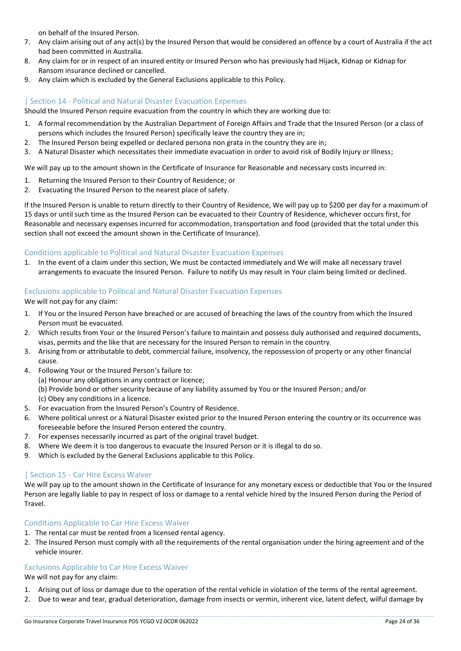on behalf of the Insured Person.

- 7. Any claim arising out of any act(s) by the Insured Person that would be considered an offence by a court of Australia if the act had been committed in Australia.
- 8. Any claim for or in respect of an insured entity or Insured Person who has previously had Hijack, Kidnap or Kidnap for Ransom insurance declined or cancelled.
- 9. Any claim which is excluded by the General Exclusions applicable to this Policy.

# | Section 14 - Political and Natural Disaster Evacuation Expenses

Should the Insured Person require evacuation from the country in which they are working due to:

- 1. A formal recommendation by the Australian Department of Foreign Affairs and Trade that the Insured Person (or a class of persons which includes the Insured Person) specifically leave the country they are in;
- 2. The Insured Person being expelled or declared persona non grata in the country they are in;
- 3. A Natural Disaster which necessitates their immediate evacuation in order to avoid risk of Bodily Injury or Illness;

We will pay up to the amount shown in the Certificate of Insurance for Reasonable and necessary costs incurred in:

- 1. Returning the Insured Person to their Country of Residence; or
- 2. Evacuating the Insured Person to the nearest place of safety.

If the Insured Person is unable to return directly to their Country of Residence, We will pay up to \$200 per day for a maximum of 15 days or until such time as the Insured Person can be evacuated to their Country of Residence, whichever occurs first, for Reasonable and necessary expenses incurred for accommodation, transportation and food (provided that the total under this section shall not exceed the amount shown in the Certificate of Insurance).

# Conditions applicable to Political and Natural Disaster Evacuation Expenses

1. In the event of a claim under this section, We must be contacted immediately and We will make all necessary travel arrangements to evacuate the Insured Person. Failure to notify Us may result in Your claim being limited or declined.

# Exclusions applicable to Political and Natural Disaster Evacuation Expenses

We will not pay for any claim:

- 1. If You or the Insured Person have breached or are accused of breaching the laws of the country from which the Insured Person must be evacuated.
- 2. Which results from Your or the Insured Person's failure to maintain and possess duly authorised and required documents, visas, permits and the like that are necessary for the Insured Person to remain in the country.
- 3. Arising from or attributable to debt, commercial failure, insolvency, the repossession of property or any other financial cause.
- 4. Following Your or the Insured Person's failure to:
	- (a) Honour any obligations in any contract or licence;
	- (b) Provide bond or other security because of any liability assumed by You or the Insured Person; and/or
	- (c) Obey any conditions in a licence.
- 5. For evacuation from the Insured Person's Country of Residence.
- 6. Where political unrest or a Natural Disaster existed prior to the Insured Person entering the country or its occurrence was foreseeable before the Insured Person entered the country.
- 7. For expenses necessarily incurred as part of the original travel budget.
- 8. Where We deem it is too dangerous to evacuate the Insured Person or it is illegal to do so.
- 9. Which is excluded by the General Exclusions applicable to this Policy.

# | Section 15 - Car Hire Excess Waiver

We will pay up to the amount shown in the Certificate of Insurance for any monetary excess or deductible that You or the Insured Person are legally liable to pay in respect of loss or damage to a rental vehicle hired by the Insured Person during the Period of Travel.

# Conditions Applicable to Car Hire Excess Waiver

- 1. The rental car must be rented from a licensed rental agency.
- 2. The Insured Person must comply with all the requirements of the rental organisation under the hiring agreement and of the vehicle insurer.

# Exclusions Applicable to Car Hire Excess Waiver

We will not pay for any claim:

- 1. Arising out of loss or damage due to the operation of the rental vehicle in violation of the terms of the rental agreement.
- 2. Due to wear and tear, gradual deterioration, damage from insects or vermin, inherent vice, latent defect, wilful damage by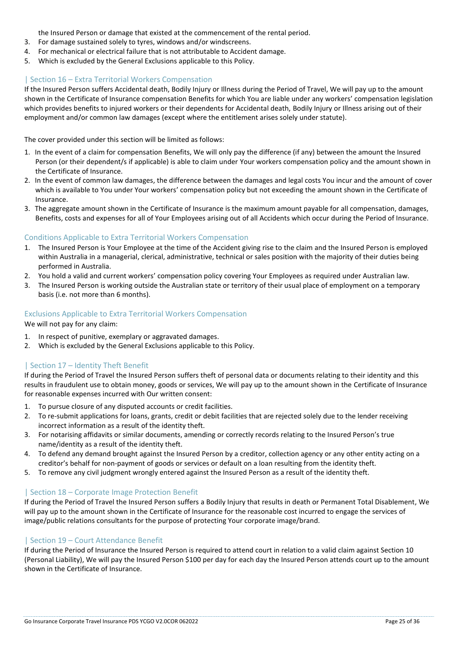the Insured Person or damage that existed at the commencement of the rental period.

- 3. For damage sustained solely to tyres, windows and/or windscreens.
- 4. For mechanical or electrical failure that is not attributable to Accident damage.
- 5. Which is excluded by the General Exclusions applicable to this Policy.

# | Section 16 – Extra Territorial Workers Compensation

If the Insured Person suffers Accidental death, Bodily Injury or Illness during the Period of Travel, We will pay up to the amount shown in the Certificate of Insurance compensation Benefits for which You are liable under any workers' compensation legislation which provides benefits to injured workers or their dependents for Accidental death, Bodily Injury or Illness arising out of their employment and/or common law damages (except where the entitlement arises solely under statute).

The cover provided under this section will be limited as follows:

- 1. In the event of a claim for compensation Benefits, We will only pay the difference (if any) between the amount the Insured Person (or their dependent/s if applicable) is able to claim under Your workers compensation policy and the amount shown in the Certificate of Insurance.
- 2. In the event of common law damages, the difference between the damages and legal costs You incur and the amount of cover which is available to You under Your workers' compensation policy but not exceeding the amount shown in the Certificate of Insurance.
- 3. The aggregate amount shown in the Certificate of Insurance is the maximum amount payable for all compensation, damages, Benefits, costs and expenses for all of Your Employees arising out of all Accidents which occur during the Period of Insurance.

# Conditions Applicable to Extra Territorial Workers Compensation

- 1. The Insured Person is Your Employee at the time of the Accident giving rise to the claim and the Insured Person is employed within Australia in a managerial, clerical, administrative, technical or sales position with the majority of their duties being performed in Australia.
- 2. You hold a valid and current workers' compensation policy covering Your Employees as required under Australian law.
- 3. The Insured Person is working outside the Australian state or territory of their usual place of employment on a temporary basis (i.e. not more than 6 months).

# Exclusions Applicable to Extra Territorial Workers Compensation

We will not pay for any claim:

- 1. In respect of punitive, exemplary or aggravated damages.
- 2. Which is excluded by the General Exclusions applicable to this Policy.

# | Section 17 – Identity Theft Benefit

If during the Period of Travel the Insured Person suffers theft of personal data or documents relating to their identity and this results in fraudulent use to obtain money, goods or services, We will pay up to the amount shown in the Certificate of Insurance for reasonable expenses incurred with Our written consent:

- 1. To pursue closure of any disputed accounts or credit facilities.
- 2. To re-submit applications for loans, grants, credit or debit facilities that are rejected solely due to the lender receiving incorrect information as a result of the identity theft.
- 3. For notarising affidavits or similar documents, amending or correctly records relating to the Insured Person's true name/identity as a result of the identity theft.
- 4. To defend any demand brought against the Insured Person by a creditor, collection agency or any other entity acting on a creditor's behalf for non-payment of goods or services or default on a loan resulting from the identity theft.
- 5. To remove any civil judgment wrongly entered against the Insured Person as a result of the identity theft.

# | Section 18 – Corporate Image Protection Benefit

If during the Period of Travel the Insured Person suffers a Bodily Injury that results in death or Permanent Total Disablement, We will pay up to the amount shown in the Certificate of Insurance for the reasonable cost incurred to engage the services of image/public relations consultants for the purpose of protecting Your corporate image/brand.

# | Section 19 – Court Attendance Benefit

If during the Period of Insurance the Insured Person is required to attend court in relation to a valid claim against Section 10 (Personal Liability), We will pay the Insured Person \$100 per day for each day the Insured Person attends court up to the amount shown in the Certificate of Insurance.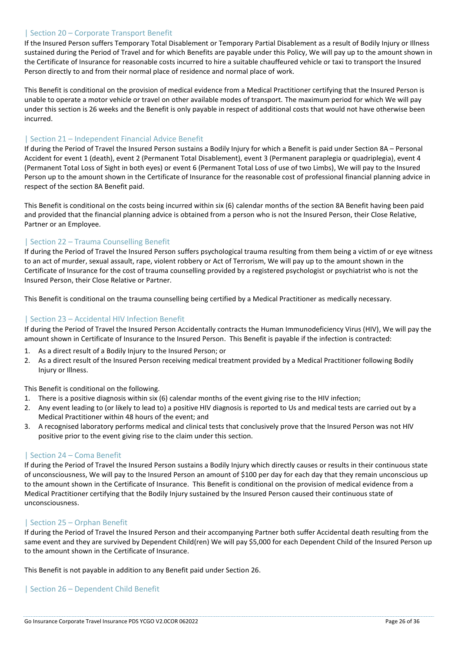# | Section 20 – Corporate Transport Benefit

If the Insured Person suffers Temporary Total Disablement or Temporary Partial Disablement as a result of Bodily Injury or Illness sustained during the Period of Travel and for which Benefits are payable under this Policy, We will pay up to the amount shown in the Certificate of Insurance for reasonable costs incurred to hire a suitable chauffeured vehicle or taxi to transport the Insured Person directly to and from their normal place of residence and normal place of work.

This Benefit is conditional on the provision of medical evidence from a Medical Practitioner certifying that the Insured Person is unable to operate a motor vehicle or travel on other available modes of transport. The maximum period for which We will pay under this section is 26 weeks and the Benefit is only payable in respect of additional costs that would not have otherwise been incurred.

#### | Section 21 – Independent Financial Advice Benefit

If during the Period of Travel the Insured Person sustains a Bodily Injury for which a Benefit is paid under Section 8A – Personal Accident for event 1 (death), event 2 (Permanent Total Disablement), event 3 (Permanent paraplegia or quadriplegia), event 4 (Permanent Total Loss of Sight in both eyes) or event 6 (Permanent Total Loss of use of two Limbs), We will pay to the Insured Person up to the amount shown in the Certificate of Insurance for the reasonable cost of professional financial planning advice in respect of the section 8A Benefit paid.

This Benefit is conditional on the costs being incurred within six (6) calendar months of the section 8A Benefit having been paid and provided that the financial planning advice is obtained from a person who is not the Insured Person, their Close Relative, Partner or an Employee.

# | Section 22 – Trauma Counselling Benefit

If during the Period of Travel the Insured Person suffers psychological trauma resulting from them being a victim of or eye witness to an act of murder, sexual assault, rape, violent robbery or Act of Terrorism, We will pay up to the amount shown in the Certificate of Insurance for the cost of trauma counselling provided by a registered psychologist or psychiatrist who is not the Insured Person, their Close Relative or Partner.

This Benefit is conditional on the trauma counselling being certified by a Medical Practitioner as medically necessary.

# | Section 23 – Accidental HIV Infection Benefit

If during the Period of Travel the Insured Person Accidentally contracts the Human Immunodeficiency Virus (HIV), We will pay the amount shown in Certificate of Insurance to the Insured Person. This Benefit is payable if the infection is contracted:

- 1. As a direct result of a Bodily Injury to the Insured Person; or
- 2. As a direct result of the Insured Person receiving medical treatment provided by a Medical Practitioner following Bodily Injury or Illness.

This Benefit is conditional on the following.

- 1. There is a positive diagnosis within six (6) calendar months of the event giving rise to the HIV infection;
- 2. Any event leading to (or likely to lead to) a positive HIV diagnosis is reported to Us and medical tests are carried out by a Medical Practitioner within 48 hours of the event; and
- 3. A recognised laboratory performs medical and clinical tests that conclusively prove that the Insured Person was not HIV positive prior to the event giving rise to the claim under this section.

#### | Section 24 – Coma Benefit

If during the Period of Travel the Insured Person sustains a Bodily Injury which directly causes or results in their continuous state of unconsciousness, We will pay to the Insured Person an amount of \$100 per day for each day that they remain unconscious up to the amount shown in the Certificate of Insurance. This Benefit is conditional on the provision of medical evidence from a Medical Practitioner certifying that the Bodily Injury sustained by the Insured Person caused their continuous state of unconsciousness.

# | Section 25 – Orphan Benefit

If during the Period of Travel the Insured Person and their accompanying Partner both suffer Accidental death resulting from the same event and they are survived by Dependent Child(ren) We will pay \$5,000 for each Dependent Child of the Insured Person up to the amount shown in the Certificate of Insurance.

This Benefit is not payable in addition to any Benefit paid under Section 26.

# | Section 26 – Dependent Child Benefit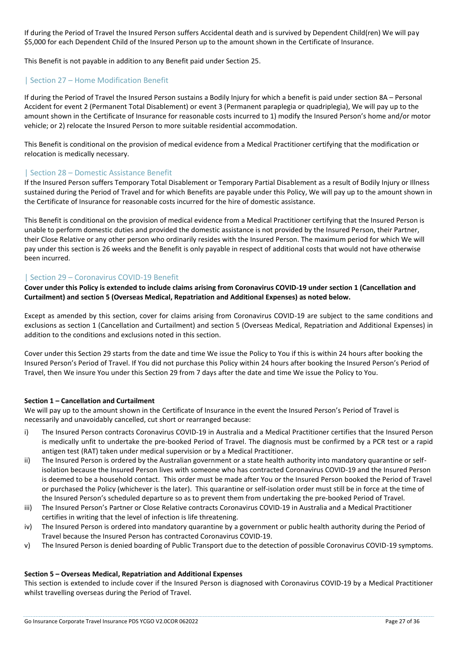If during the Period of Travel the Insured Person suffers Accidental death and is survived by Dependent Child(ren) We will pay \$5,000 for each Dependent Child of the Insured Person up to the amount shown in the Certificate of Insurance.

This Benefit is not payable in addition to any Benefit paid under Section 25.

# | Section 27 – Home Modification Benefit

If during the Period of Travel the Insured Person sustains a Bodily Injury for which a benefit is paid under section 8A – Personal Accident for event 2 (Permanent Total Disablement) or event 3 (Permanent paraplegia or quadriplegia), We will pay up to the amount shown in the Certificate of Insurance for reasonable costs incurred to 1) modify the Insured Person's home and/or motor vehicle; or 2) relocate the Insured Person to more suitable residential accommodation.

This Benefit is conditional on the provision of medical evidence from a Medical Practitioner certifying that the modification or relocation is medically necessary.

# | Section 28 – Domestic Assistance Benefit

If the Insured Person suffers Temporary Total Disablement or Temporary Partial Disablement as a result of Bodily Injury or Illness sustained during the Period of Travel and for which Benefits are payable under this Policy, We will pay up to the amount shown in the Certificate of Insurance for reasonable costs incurred for the hire of domestic assistance.

This Benefit is conditional on the provision of medical evidence from a Medical Practitioner certifying that the Insured Person is unable to perform domestic duties and provided the domestic assistance is not provided by the Insured Person, their Partner, their Close Relative or any other person who ordinarily resides with the Insured Person. The maximum period for which We will pay under this section is 26 weeks and the Benefit is only payable in respect of additional costs that would not have otherwise been incurred.

# | Section 29 – Coronavirus COVID-19 Benefit

**Cover under this Policy is extended to include claims arising from Coronavirus COVID-19 under section 1 (Cancellation and Curtailment) and section 5 (Overseas Medical, Repatriation and Additional Expenses) as noted below.** 

Except as amended by this section, cover for claims arising from Coronavirus COVID-19 are subject to the same conditions and exclusions as section 1 (Cancellation and Curtailment) and section 5 (Overseas Medical, Repatriation and Additional Expenses) in addition to the conditions and exclusions noted in this section.

Cover under this Section 29 starts from the date and time We issue the Policy to You if this is within 24 hours after booking the Insured Person's Period of Travel. If You did not purchase this Policy within 24 hours after booking the Insured Person's Period of Travel, then We insure You under this Section 29 from 7 days after the date and time We issue the Policy to You.

#### **Section 1 – Cancellation and Curtailment**

We will pay up to the amount shown in the Certificate of Insurance in the event the Insured Person's Period of Travel is necessarily and unavoidably cancelled, cut short or rearranged because:

- i) The Insured Person contracts Coronavirus COVID-19 in Australia and a Medical Practitioner certifies that the Insured Person is medically unfit to undertake the pre-booked Period of Travel. The diagnosis must be confirmed by a PCR test or a rapid antigen test (RAT) taken under medical supervision or by a Medical Practitioner.
- ii) The Insured Person is ordered by the Australian government or a state health authority into mandatory quarantine or selfisolation because the Insured Person lives with someone who has contracted Coronavirus COVID-19 and the Insured Person is deemed to be a household contact. This order must be made after You or the Insured Person booked the Period of Travel or purchased the Policy (whichever is the later). This quarantine or self-isolation order must still be in force at the time of the Insured Person's scheduled departure so as to prevent them from undertaking the pre-booked Period of Travel.
- iii) The Insured Person's Partner or Close Relative contracts Coronavirus COVID-19 in Australia and a Medical Practitioner certifies in writing that the level of infection is life threatening.
- iv) The Insured Person is ordered into mandatory quarantine by a government or public health authority during the Period of Travel because the Insured Person has contracted Coronavirus COVID-19.
- v) The Insured Person is denied boarding of Public Transport due to the detection of possible Coronavirus COVID-19 symptoms.

#### **Section 5 – Overseas Medical, Repatriation and Additional Expenses**

This section is extended to include cover if the Insured Person is diagnosed with Coronavirus COVID-19 by a Medical Practitioner whilst travelling overseas during the Period of Travel.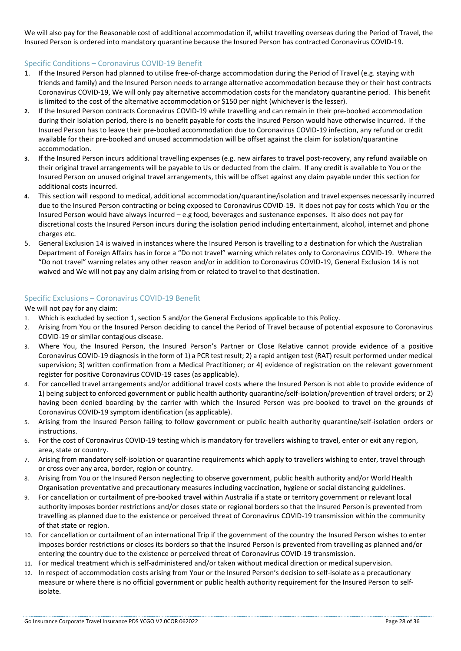We will also pay for the Reasonable cost of additional accommodation if, whilst travelling overseas during the Period of Travel, the Insured Person is ordered into mandatory quarantine because the Insured Person has contracted Coronavirus COVID-19.

# Specific Conditions – Coronavirus COVID-19 Benefit

- 1. If the Insured Person had planned to utilise free-of-charge accommodation during the Period of Travel (e.g. staying with friends and family) and the Insured Person needs to arrange alternative accommodation because they or their host contracts Coronavirus COVID-19, We will only pay alternative accommodation costs for the mandatory quarantine period. This benefit is limited to the cost of the alternative accommodation or \$150 per night (whichever is the lesser).
- **2.** If the Insured Person contracts Coronavirus COVID-19 while travelling and can remain in their pre-booked accommodation during their isolation period, there is no benefit payable for costs the Insured Person would have otherwise incurred. If the Insured Person has to leave their pre-booked accommodation due to Coronavirus COVID-19 infection, any refund or credit available for their pre-booked and unused accommodation will be offset against the claim for isolation/quarantine accommodation.
- **3.** If the Insured Person incurs additional travelling expenses (e.g. new airfares to travel post-recovery, any refund available on their original travel arrangements will be payable to Us or deducted from the claim. If any credit is available to You or the Insured Person on unused original travel arrangements, this will be offset against any claim payable under this section for additional costs incurred.
- **4.** This section will respond to medical, additional accommodation/quarantine/isolation and travel expenses necessarily incurred due to the Insured Person contracting or being exposed to Coronavirus COVID-19. It does not pay for costs which You or the Insured Person would have always incurred – e.g food, beverages and sustenance expenses. It also does not pay for discretional costs the Insured Person incurs during the isolation period including entertainment, alcohol, internet and phone charges etc.
- 5. General Exclusion 14 is waived in instances where the Insured Person is travelling to a destination for which the Australian Department of Foreign Affairs has in force a "Do not travel" warning which relates only to Coronavirus COVID-19. Where the "Do not travel" warning relates any other reason and/or in addition to Coronavirus COVID-19, General Exclusion 14 is not waived and We will not pay any claim arising from or related to travel to that destination.

#### Specific Exclusions – Coronavirus COVID-19 Benefit

We will not pay for any claim:

- 1. Which is excluded by section 1, section 5 and/or the General Exclusions applicable to this Policy.
- 2. Arising from You or the Insured Person deciding to cancel the Period of Travel because of potential exposure to Coronavirus COVID-19 or similar contagious disease.
- 3. Where You, the Insured Person, the Insured Person's Partner or Close Relative cannot provide evidence of a positive Coronavirus COVID-19 diagnosis in the form of 1) a PCR test result; 2) a rapid antigen test (RAT) result performed under medical supervision; 3) written confirmation from a Medical Practitioner; or 4) evidence of registration on the relevant government register for positive Coronavirus COVID-19 cases (as applicable).
- 4. For cancelled travel arrangements and/or additional travel costs where the Insured Person is not able to provide evidence of 1) being subject to enforced government or public health authority quarantine/self-isolation/prevention of travel orders; or 2) having been denied boarding by the carrier with which the Insured Person was pre-booked to travel on the grounds of Coronavirus COVID-19 symptom identification (as applicable).
- 5. Arising from the Insured Person failing to follow government or public health authority quarantine/self-isolation orders or instructions.
- 6. For the cost of Coronavirus COVID-19 testing which is mandatory for travellers wishing to travel, enter or exit any region, area, state or country.
- 7. Arising from mandatory self-isolation or quarantine requirements which apply to travellers wishing to enter, travel through or cross over any area, border, region or country.
- 8. Arising from You or the Insured Person neglecting to observe government, public health authority and/or World Health Organisation preventative and precautionary measures including vaccination, hygiene or social distancing guidelines.
- 9. For cancellation or curtailment of pre-booked travel within Australia if a state or territory government or relevant local authority imposes border restrictions and/or closes state or regional borders so that the Insured Person is prevented from travelling as planned due to the existence or perceived threat of Coronavirus COVID-19 transmission within the community of that state or region.
- 10. For cancellation or curtailment of an international Trip if the government of the country the Insured Person wishes to enter imposes border restrictions or closes its borders so that the Insured Person is prevented from travelling as planned and/or entering the country due to the existence or perceived threat of Coronavirus COVID-19 transmission.
- 11. For medical treatment which is self-administered and/or taken without medical direction or medical supervision.
- 12. In respect of accommodation costs arising from Your or the Insured Person's decision to self-isolate as a precautionary measure or where there is no official government or public health authority requirement for the Insured Person to selfisolate.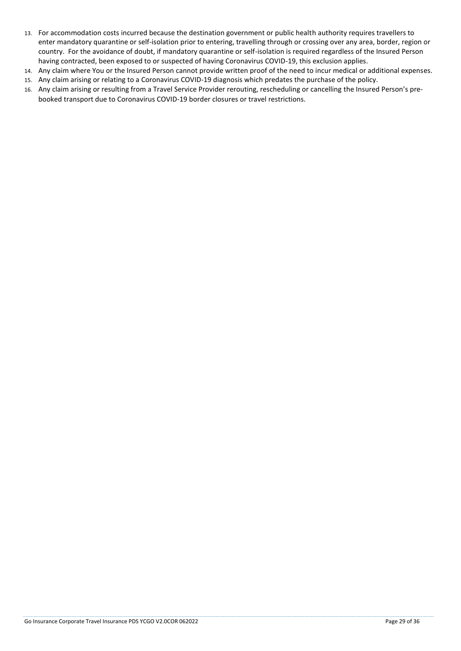- 13. For accommodation costs incurred because the destination government or public health authority requires travellers to enter mandatory quarantine or self-isolation prior to entering, travelling through or crossing over any area, border, region or country. For the avoidance of doubt, if mandatory quarantine or self-isolation is required regardless of the Insured Person having contracted, been exposed to or suspected of having Coronavirus COVID-19, this exclusion applies.
- 14. Any claim where You or the Insured Person cannot provide written proof of the need to incur medical or additional expenses.
- 15. Any claim arising or relating to a Coronavirus COVID-19 diagnosis which predates the purchase of the policy.
- 16. Any claim arising or resulting from a Travel Service Provider rerouting, rescheduling or cancelling the Insured Person's prebooked transport due to Coronavirus COVID-19 border closures or travel restrictions.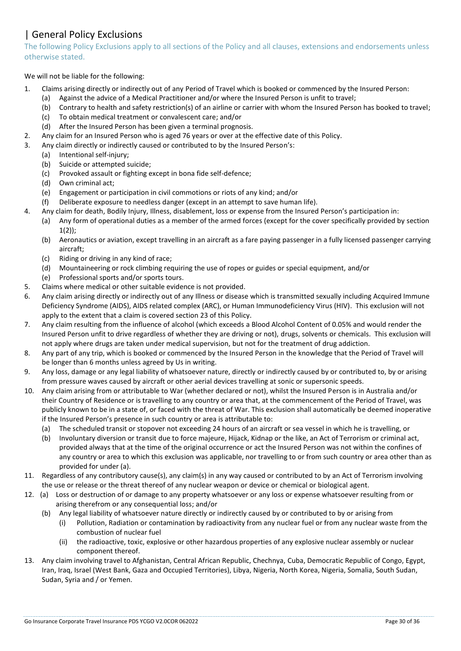# | General Policy Exclusions

The following Policy Exclusions apply to all sections of the Policy and all clauses, extensions and endorsements unless otherwise stated.

# We will not be liable for the following:

- 1. Claims arising directly or indirectly out of any Period of Travel which is booked or commenced by the Insured Person:
	- (a) Against the advice of a Medical Practitioner and/or where the Insured Person is unfit to travel;
	- (b) Contrary to health and safety restriction(s) of an airline or carrier with whom the Insured Person has booked to travel;
	- (c) To obtain medical treatment or convalescent care; and/or
	- (d) After the Insured Person has been given a terminal prognosis.
- 2. Any claim for an Insured Person who is aged 76 years or over at the effective date of this Policy.
- 3. Any claim directly or indirectly caused or contributed to by the Insured Person's:
	- (a) Intentional self-injury;
	- (b) Suicide or attempted suicide;
	- (c) Provoked assault or fighting except in bona fide self-defence;
	- (d) Own criminal act;
	- (e) Engagement or participation in civil commotions or riots of any kind; and/or
	- (f) Deliberate exposure to needless danger (except in an attempt to save human life).
- 4. Any claim for death, Bodily Injury, Illness, disablement, loss or expense from the Insured Person's participation in:
	- (a) Any form of operational duties as a member of the armed forces (except for the cover specifically provided by section  $1(2)$ ;
	- (b) Aeronautics or aviation, except travelling in an aircraft as a fare paying passenger in a fully licensed passenger carrying aircraft;
	- (c) Riding or driving in any kind of race;
	- (d) Mountaineering or rock climbing requiring the use of ropes or guides or special equipment, and/or
	- (e) Professional sports and/or sports tours.
- 5. Claims where medical or other suitable evidence is not provided.
- 6. Any claim arising directly or indirectly out of any Illness or disease which is transmitted sexually including Acquired Immune Deficiency Syndrome (AIDS), AIDS related complex (ARC), or Human Immunodeficiency Virus (HIV). This exclusion will not apply to the extent that a claim is covered section 23 of this Policy.
- 7. Any claim resulting from the influence of alcohol (which exceeds a Blood Alcohol Content of 0.05% and would render the Insured Person unfit to drive regardless of whether they are driving or not), drugs, solvents or chemicals. This exclusion will not apply where drugs are taken under medical supervision, but not for the treatment of drug addiction.
- 8. Any part of any trip, which is booked or commenced by the Insured Person in the knowledge that the Period of Travel will be longer than 6 months unless agreed by Us in writing.
- 9. Any loss, damage or any legal liability of whatsoever nature, directly or indirectly caused by or contributed to, by or arising from pressure waves caused by aircraft or other aerial devices travelling at sonic or supersonic speeds.
- 10. Any claim arising from or attributable to War (whether declared or not), whilst the Insured Person is in Australia and/or their Country of Residence or is travelling to any country or area that, at the commencement of the Period of Travel, was publicly known to be in a state of, or faced with the threat of War. This exclusion shall automatically be deemed inoperative if the Insured Person's presence in such country or area is attributable to:
	- (a) The scheduled transit or stopover not exceeding 24 hours of an aircraft or sea vessel in which he is travelling, or
	- (b) Involuntary diversion or transit due to force majeure, Hijack, Kidnap or the like, an Act of Terrorism or criminal act, provided always that at the time of the original occurrence or act the Insured Person was not within the confines of any country or area to which this exclusion was applicable, nor travelling to or from such country or area other than as provided for under (a).
- 11. Regardless of any contributory cause(s), any claim(s) in any way caused or contributed to by an Act of Terrorism involving the use or release or the threat thereof of any nuclear weapon or device or chemical or biological agent.
- 12. (a) Loss or destruction of or damage to any property whatsoever or any loss or expense whatsoever resulting from or arising therefrom or any consequential loss; and/or
	- (b) Any legal liability of whatsoever nature directly or indirectly caused by or contributed to by or arising from
		- (i) Pollution, Radiation or contamination by radioactivity from any nuclear fuel or from any nuclear waste from the combustion of nuclear fuel
		- (ii) the radioactive, toxic, explosive or other hazardous properties of any explosive nuclear assembly or nuclear component thereof.
- 13. Any claim involving travel to Afghanistan, Central African Republic, Chechnya, Cuba, Democratic Republic of Congo, Egypt, Iran, Iraq, Israel (West Bank, Gaza and Occupied Territories), Libya, Nigeria, North Korea, Nigeria, Somalia, South Sudan, Sudan, Syria and / or Yemen.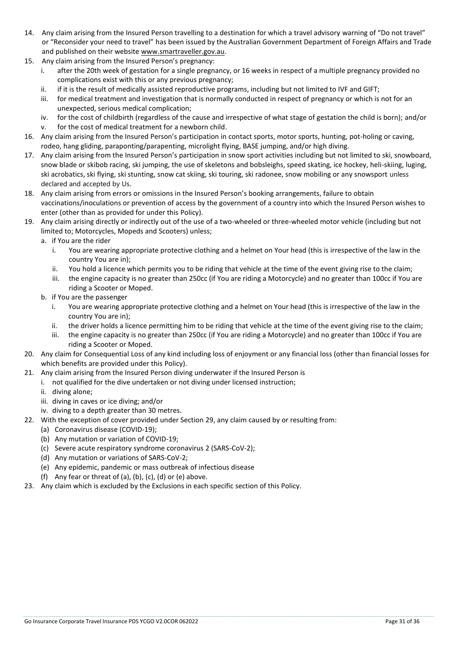- 14. Any claim arising from the Insured Person travelling to a destination for which a travel advisory warning of "Do not travel" or "Reconsider your need to travel" has been issued by the Australian Government Department of Foreign Affairs and Trade and published on their website [www.smartraveller.gov.au.](http://www.smartraveller.gov.au/)
- 15. Any claim arising from the Insured Person's pregnancy:
	- i. after the 20th week of gestation for a single pregnancy, or 16 weeks in respect of a multiple pregnancy provided no complications exist with this or any previous pregnancy;
	- ii. if it is the result of medically assisted reproductive programs, including but not limited to IVF and GIFT;
	- iii. for medical treatment and investigation that is normally conducted in respect of pregnancy or which is not for an unexpected, serious medical complication;
	- iv. for the cost of childbirth (regardless of the cause and irrespective of what stage of gestation the child is born); and/or
	- v. for the cost of medical treatment for a newborn child.
- 16. Any claim arising from the Insured Person's participation in contact sports, motor sports, hunting, pot-holing or caving, rodeo, hang gliding, paraponting/parapenting, microlight flying, BASE jumping, and/or high diving.
- 17. Any claim arising from the Insured Person's participation in snow sport activities including but not limited to ski, snowboard, snow blade or skibob racing, ski jumping, the use of skeletons and bobsleighs, speed skating, ice hockey, heli-skiing, luging, ski acrobatics, ski flying, ski stunting, snow cat skiing, ski touring, ski radonee, snow mobiling or any snowsport unless declared and accepted by Us.
- 18. Any claim arising from errors or omissions in the Insured Person's booking arrangements, failure to obtain vaccinations/inoculations or prevention of access by the government of a country into which the Insured Person wishes to enter (other than as provided for under this Policy).
- 19. Any claim arising directly or indirectly out of the use of a two-wheeled or three-wheeled motor vehicle (including but not limited to; Motorcycles, Mopeds and Scooters) unless;
	- a. if You are the rider
		- i. You are wearing appropriate protective clothing and a helmet on Your head (this is irrespective of the law in the country You are in);
		- ii. You hold a licence which permits you to be riding that vehicle at the time of the event giving rise to the claim;
		- iii. the engine capacity is no greater than 250cc (if You are riding a Motorcycle) and no greater than 100cc if You are riding a Scooter or Moped.
	- b. if You are the passenger
		- i. You are wearing appropriate protective clothing and a helmet on Your head (this is irrespective of the law in the country You are in);
		- ii. the driver holds a licence permitting him to be riding that vehicle at the time of the event giving rise to the claim;
		- iii. the engine capacity is no greater than 250cc (if You are riding a Motorcycle) and no greater than 100cc if You are riding a Scooter or Moped.
- 20. Any claim for Consequential Loss of any kind including loss of enjoyment or any financial loss (other than financial losses for which benefits are provided under this Policy).
- 21. Any claim arising from the Insured Person diving underwater if the Insured Person is
	- i. not qualified for the dive undertaken or not diving under licensed instruction;
	- ii. diving alone;
	- iii. diving in caves or ice diving; and/or
	- iv. diving to a depth greater than 30 metres.
- 22. With the exception of cover provided under Section 29, any claim caused by or resulting from:
	- (a) Coronavirus disease (COVID-19);
		- (b) Any mutation or variation of COVID-19;
		- (c) Severe acute respiratory syndrome coronavirus 2 (SARS-CoV-2);
		- (d) Any mutation or variations of SARS-CoV-2;
		- (e) Any epidemic, pandemic or mass outbreak of infectious disease
		- (f) Any fear or threat of (a), (b), (c), (d) or (e) above.
- 23. Any claim which is excluded by the Exclusions in each specific section of this Policy.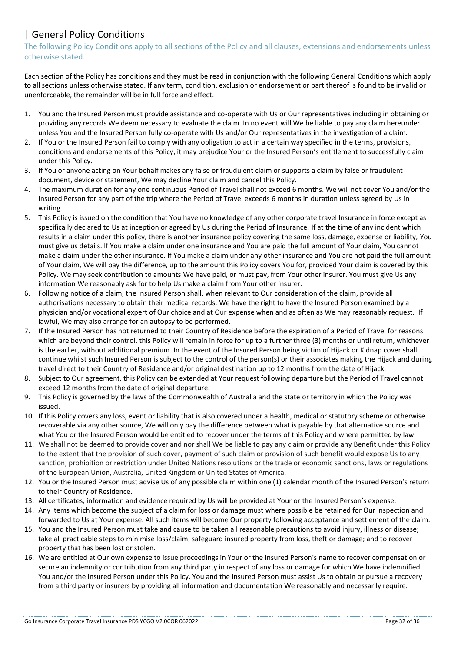# | General Policy Conditions

The following Policy Conditions apply to all sections of the Policy and all clauses, extensions and endorsements unless otherwise stated.

Each section of the Policy has conditions and they must be read in conjunction with the following General Conditions which apply to all sections unless otherwise stated. If any term, condition, exclusion or endorsement or part thereof is found to be invalid or unenforceable, the remainder will be in full force and effect.

- 1. You and the Insured Person must provide assistance and co-operate with Us or Our representatives including in obtaining or providing any records We deem necessary to evaluate the claim. In no event will We be liable to pay any claim hereunder unless You and the Insured Person fully co-operate with Us and/or Our representatives in the investigation of a claim.
- 2. If You or the Insured Person fail to comply with any obligation to act in a certain way specified in the terms, provisions, conditions and endorsements of this Policy, it may prejudice Your or the Insured Person's entitlement to successfully claim under this Policy.
- 3. If You or anyone acting on Your behalf makes any false or fraudulent claim or supports a claim by false or fraudulent document, device or statement, We may decline Your claim and cancel this Policy.
- 4. The maximum duration for any one continuous Period of Travel shall not exceed 6 months. We will not cover You and/or the Insured Person for any part of the trip where the Period of Travel exceeds 6 months in duration unless agreed by Us in writing.
- 5. This Policy is issued on the condition that You have no knowledge of any other corporate travel Insurance in force except as specifically declared to Us at inception or agreed by Us during the Period of Insurance. If at the time of any incident which results in a claim under this policy, there is another insurance policy covering the same loss, damage, expense or liability, You must give us details. If You make a claim under one insurance and You are paid the full amount of Your claim, You cannot make a claim under the other insurance. If You make a claim under any other insurance and You are not paid the full amount of Your claim, We will pay the difference, up to the amount this Policy covers You for, provided Your claim is covered by this Policy. We may seek contribution to amounts We have paid, or must pay, from Your other insurer. You must give Us any information We reasonably ask for to help Us make a claim from Your other insurer.
- 6. Following notice of a claim, the Insured Person shall, when relevant to Our consideration of the claim, provide all authorisations necessary to obtain their medical records. We have the right to have the Insured Person examined by a physician and/or vocational expert of Our choice and at Our expense when and as often as We may reasonably request. If lawful, We may also arrange for an autopsy to be performed.
- 7. If the Insured Person has not returned to their Country of Residence before the expiration of a Period of Travel for reasons which are beyond their control, this Policy will remain in force for up to a further three (3) months or until return, whichever is the earlier, without additional premium. In the event of the Insured Person being victim of Hijack or Kidnap cover shall continue whilst such Insured Person is subject to the control of the person(s) or their associates making the Hijack and during travel direct to their Country of Residence and/or original destination up to 12 months from the date of Hijack.
- 8. Subject to Our agreement, this Policy can be extended at Your request following departure but the Period of Travel cannot exceed 12 months from the date of original departure.
- 9. This Policy is governed by the laws of the Commonwealth of Australia and the state or territory in which the Policy was issued.
- 10. If this Policy covers any loss, event or liability that is also covered under a health, medical or statutory scheme or otherwise recoverable via any other source, We will only pay the difference between what is payable by that alternative source and what You or the Insured Person would be entitled to recover under the terms of this Policy and where permitted by law.
- 11. We shall not be deemed to provide cover and nor shall We be liable to pay any claim or provide any Benefit under this Policy to the extent that the provision of such cover, payment of such claim or provision of such benefit would expose Us to any sanction, prohibition or restriction under United Nations resolutions or the trade or economic sanctions, laws or regulations of the European Union, Australia, United Kingdom or United States of America.
- 12. You or the Insured Person must advise Us of any possible claim within one (1) calendar month of the Insured Person's return to their Country of Residence.
- 13. All certificates, information and evidence required by Us will be provided at Your or the Insured Person's expense.
- 14. Any items which become the subject of a claim for loss or damage must where possible be retained for Our inspection and forwarded to Us at Your expense. All such items will become Our property following acceptance and settlement of the claim.
- 15. You and the Insured Person must take and cause to be taken all reasonable precautions to avoid injury, illness or disease; take all practicable steps to minimise loss/claim; safeguard insured property from loss, theft or damage; and to recover property that has been lost or stolen.
- 16. We are entitled at Our own expense to issue proceedings in Your or the Insured Person's name to recover compensation or secure an indemnity or contribution from any third party in respect of any loss or damage for which We have indemnified You and/or the Insured Person under this Policy. You and the Insured Person must assist Us to obtain or pursue a recovery from a third party or insurers by providing all information and documentation We reasonably and necessarily require.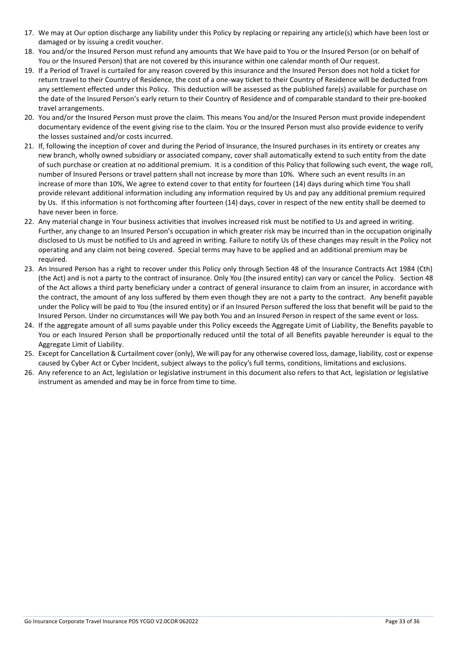- 17. We may at Our option discharge any liability under this Policy by replacing or repairing any article(s) which have been lost or damaged or by issuing a credit voucher.
- 18. You and/or the Insured Person must refund any amounts that We have paid to You or the Insured Person (or on behalf of You or the Insured Person) that are not covered by this insurance within one calendar month of Our request.
- 19. If a Period of Travel is curtailed for any reason covered by this insurance and the Insured Person does not hold a ticket for return travel to their Country of Residence, the cost of a one-way ticket to their Country of Residence will be deducted from any settlement effected under this Policy. This deduction will be assessed as the published fare(s) available for purchase on the date of the Insured Person's early return to their Country of Residence and of comparable standard to their pre-booked travel arrangements.
- 20. You and/or the Insured Person must prove the claim. This means You and/or the Insured Person must provide independent documentary evidence of the event giving rise to the claim. You or the Insured Person must also provide evidence to verify the losses sustained and/or costs incurred.
- 21. If, following the inception of cover and during the Period of Insurance, the Insured purchases in its entirety or creates any new branch, wholly owned subsidiary or associated company, cover shall automatically extend to such entity from the date of such purchase or creation at no additional premium. It is a condition of this Policy that following such event, the wage roll, number of Insured Persons or travel pattern shall not increase by more than 10%. Where such an event results in an increase of more than 10%, We agree to extend cover to that entity for fourteen (14) days during which time You shall provide relevant additional information including any information required by Us and pay any additional premium required by Us. If this information is not forthcoming after fourteen (14) days, cover in respect of the new entity shall be deemed to have never been in force.
- 22. Any material change in Your business activities that involves increased risk must be notified to Us and agreed in writing. Further, any change to an Insured Person's occupation in which greater risk may be incurred than in the occupation originally disclosed to Us must be notified to Us and agreed in writing. Failure to notify Us of these changes may result in the Policy not operating and any claim not being covered. Special terms may have to be applied and an additional premium may be required.
- 23. An Insured Person has a right to recover under this Policy only through Section 48 of the Insurance Contracts Act 1984 (Cth) (the Act) and is not a party to the contract of insurance. Only You (the insured entity) can vary or cancel the Policy. Section 48 of the Act allows a third party beneficiary under a contract of general insurance to claim from an insurer, in accordance with the contract, the amount of any loss suffered by them even though they are not a party to the contract. Any benefit payable under the Policy will be paid to You (the insured entity) or if an Insured Person suffered the loss that benefit will be paid to the Insured Person. Under no circumstances will We pay both You and an Insured Person in respect of the same event or loss.
- 24. If the aggregate amount of all sums payable under this Policy exceeds the Aggregate Limit of Liability, the Benefits payable to You or each Insured Person shall be proportionally reduced until the total of all Benefits payable hereunder is equal to the Aggregate Limit of Liability.
- 25. Except for Cancellation & Curtailment cover (only), We will pay for any otherwise covered loss, damage, liability, cost or expense caused by Cyber Act or Cyber Incident, subject always to the policy's full terms, conditions, limitations and exclusions.
- 26. Any reference to an Act, legislation or legislative instrument in this document also refers to that Act, legislation or legislative instrument as amended and may be in force from time to time.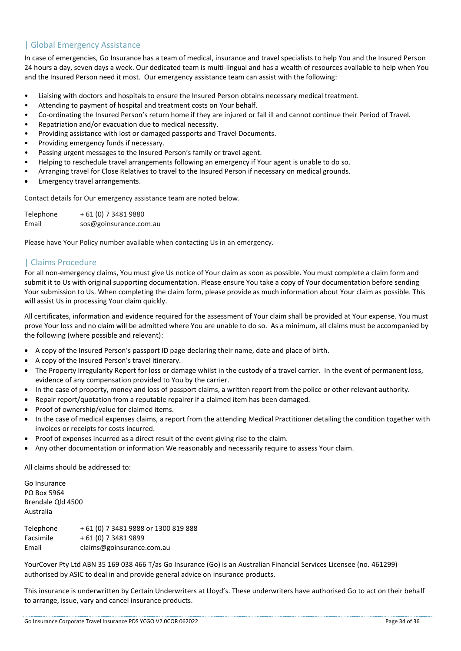# | Global Emergency Assistance

In case of emergencies, Go Insurance has a team of medical, insurance and travel specialists to help You and the Insured Person 24 hours a day, seven days a week. Our dedicated team is multi-lingual and has a wealth of resources available to help when You and the Insured Person need it most. Our emergency assistance team can assist with the following:

- Liaising with doctors and hospitals to ensure the Insured Person obtains necessary medical treatment.
- Attending to payment of hospital and treatment costs on Your behalf.
- Co-ordinating the Insured Person's return home if they are injured or fall ill and cannot continue their Period of Travel.
- Repatriation and/or evacuation due to medical necessity.
- Providing assistance with lost or damaged passports and Travel Documents.
- Providing emergency funds if necessary.
- Passing urgent messages to the Insured Person's family or travel agent.
- Helping to reschedule travel arrangements following an emergency if Your agent is unable to do so.
- Arranging travel for Close Relatives to travel to the Insured Person if necessary on medical grounds.
- Emergency travel arrangements.

Contact details for Our emergency assistance team are noted below.

Telephone + 61 (0) 7 3481 9880 Email sos@goinsurance.com.au

Please have Your Policy number available when contacting Us in an emergency.

# | Claims Procedure

For all non-emergency claims, You must give Us notice of Your claim as soon as possible. You must complete a claim form and submit it to Us with original supporting documentation. Please ensure You take a copy of Your documentation before sending Your submission to Us. When completing the claim form, please provide as much information about Your claim as possible. This will assist Us in processing Your claim quickly.

All certificates, information and evidence required for the assessment of Your claim shall be provided at Your expense. You must prove Your loss and no claim will be admitted where You are unable to do so. As a minimum, all claims must be accompanied by the following (where possible and relevant):

- A copy of the Insured Person's passport ID page declaring their name, date and place of birth.
- A copy of the Insured Person's travel itinerary.
- The Property Irregularity Report for loss or damage whilst in the custody of a travel carrier. In the event of permanent loss, evidence of any compensation provided to You by the carrier.
- In the case of property, money and loss of passport claims, a written report from the police or other relevant authority.
- Repair report/quotation from a reputable repairer if a claimed item has been damaged.
- Proof of ownership/value for claimed items.
- In the case of medical expenses claims, a report from the attending Medical Practitioner detailing the condition together with invoices or receipts for costs incurred.
- Proof of expenses incurred as a direct result of the event giving rise to the claim.
- Any other documentation or information We reasonably and necessarily require to assess Your claim.

All claims should be addressed to:

Go Insurance PO Box 5964 Brendale Qld 4500 Australia

Telephone + 61 (0) 7 3481 9888 or 1300 819 888 Facsimile + 61 (0) 7 3481 9899 Email claims@goinsurance.com.au

YourCover Pty Ltd ABN 35 169 038 466 T/as Go Insurance (Go) is an Australian Financial Services Licensee (no. 461299) authorised by ASIC to deal in and provide general advice on insurance products.

This insurance is underwritten by Certain Underwriters at Lloyd's. These underwriters have authorised Go to act on their behalf to arrange, issue, vary and cancel insurance products.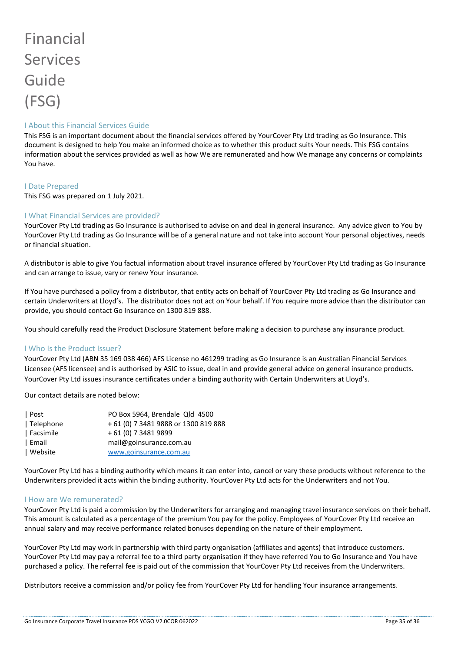# Financial Services Guide (FSG)

#### I About this Financial Services Guide

This FSG is an important document about the financial services offered by YourCover Pty Ltd trading as Go Insurance. This document is designed to help You make an informed choice as to whether this product suits Your needs. This FSG contains information about the services provided as well as how We are remunerated and how We manage any concerns or complaints You have.

#### I Date Prepared

This FSG was prepared on 1 July 2021.

#### I What Financial Services are provided?

YourCover Pty Ltd trading as Go Insurance is authorised to advise on and deal in general insurance. Any advice given to You by YourCover Pty Ltd trading as Go Insurance will be of a general nature and not take into account Your personal objectives, needs or financial situation.

A distributor is able to give You factual information about travel insurance offered by YourCover Pty Ltd trading as Go Insurance and can arrange to issue, vary or renew Your insurance.

If You have purchased a policy from a distributor, that entity acts on behalf of YourCover Pty Ltd trading as Go Insurance and certain Underwriters at Lloyd's. The distributor does not act on Your behalf. If You require more advice than the distributor can provide, you should contact Go Insurance on 1300 819 888.

You should carefully read the Product Disclosure Statement before making a decision to purchase any insurance product.

#### I Who Is the Product Issuer?

YourCover Pty Ltd (ABN 35 169 038 466) AFS License no 461299 trading as Go Insurance is an Australian Financial Services Licensee (AFS licensee) and is authorised by ASIC to issue, deal in and provide general advice on general insurance products. YourCover Pty Ltd issues insurance certificates under a binding authority with Certain Underwriters at Lloyd's.

Our contact details are noted below:

| PO Box 5964, Brendale Qld 4500       |
|--------------------------------------|
| + 61 (0) 7 3481 9888 or 1300 819 888 |
| + 61 (0) 7 3481 9899                 |
| mail@goinsurance.com.au              |
| www.goinsurance.com.au               |
|                                      |

YourCover Pty Ltd has a binding authority which means it can enter into, cancel or vary these products without reference to the Underwriters provided it acts within the binding authority. YourCover Pty Ltd acts for the Underwriters and not You.

#### I How are We remunerated?

YourCover Pty Ltd is paid a commission by the Underwriters for arranging and managing travel insurance services on their behalf. This amount is calculated as a percentage of the premium You pay for the policy. Employees of YourCover Pty Ltd receive an annual salary and may receive performance related bonuses depending on the nature of their employment.

YourCover Pty Ltd may work in partnership with third party organisation (affiliates and agents) that introduce customers. YourCover Pty Ltd may pay a referral fee to a third party organisation if they have referred You to Go Insurance and You have purchased a policy. The referral fee is paid out of the commission that YourCover Pty Ltd receives from the Underwriters.

Distributors receive a commission and/or policy fee from YourCover Pty Ltd for handling Your insurance arrangements.